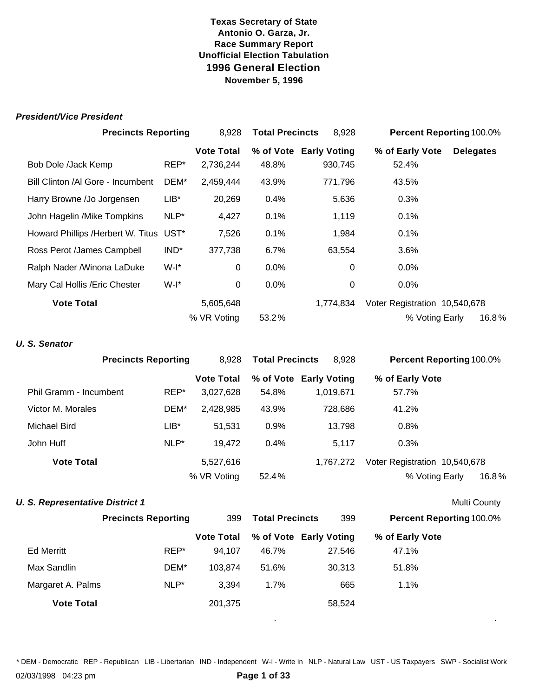#### *President/Vice President*

|                                         | <b>Precincts Reporting</b> |                   | <b>Total Precincts</b><br>8,928 |                        | Percent Reporting 100.0%      |                  |
|-----------------------------------------|----------------------------|-------------------|---------------------------------|------------------------|-------------------------------|------------------|
|                                         |                            | <b>Vote Total</b> |                                 | % of Vote Early Voting | % of Early Vote               | <b>Delegates</b> |
| Bob Dole /Jack Kemp                     | REP*                       | 2,736,244         | 48.8%                           | 930,745                | 52.4%                         |                  |
| Bill Clinton /Al Gore - Incumbent       | DEM*                       | 2,459,444         | 43.9%                           | 771,796                | 43.5%                         |                  |
| Harry Browne /Jo Jorgensen              | $LIB*$                     | 20,269            | 0.4%                            | 5,636                  | 0.3%                          |                  |
| John Hagelin / Mike Tompkins            | NLP*                       | 4,427             | 0.1%                            | 1,119                  | 0.1%                          |                  |
| Howard Phillips / Herbert W. Titus UST* |                            | 7,526             | 0.1%                            | 1,984                  | $0.1\%$                       |                  |
| Ross Perot /James Campbell              | IND <sup>*</sup>           | 377,738           | 6.7%                            | 63,554                 | $3.6\%$                       |                  |
| Ralph Nader /Winona LaDuke              | W-I*                       | 0                 | $0.0\%$                         | $\Omega$               | $0.0\%$                       |                  |
| Mary Cal Hollis / Eric Chester          | $W-I^*$                    | 0                 | 0.0%                            | 0                      | 0.0%                          |                  |
| <b>Vote Total</b>                       |                            | 5,605,648         |                                 | 1,774,834              | Voter Registration 10,540,678 |                  |
|                                         |                            | % VR Voting       | 53.2%                           |                        | % Voting Early                | 16.8%            |

#### *U. S. Senator*

|                        | <b>Precincts Reporting</b> |                   | <b>Total Precincts</b> | 8,928                  | <b>Percent Reporting 100.0%</b> |
|------------------------|----------------------------|-------------------|------------------------|------------------------|---------------------------------|
|                        |                            | <b>Vote Total</b> |                        | % of Vote Early Voting | % of Early Vote                 |
| Phil Gramm - Incumbent | REP*                       | 3,027,628         | 54.8%                  | 1,019,671              | 57.7%                           |
| Victor M. Morales      | DEM*                       | 2,428,985         | 43.9%                  | 728,686                | 41.2%                           |
| Michael Bird           | $LIB^*$                    | 51.531            | 0.9%                   | 13.798                 | $0.8\%$                         |
| John Huff              | NLP*                       | 19,472            | 0.4%                   | 5.117                  | $0.3\%$                         |
| <b>Vote Total</b>      |                            | 5,527,616         |                        | 1.767.272              | Voter Registration 10,540,678   |
|                        |                            | % VR Voting       | 52.4%                  |                        | 16.8%<br>% Voting Early         |

#### **U. S. Representative District 1**

| Multi County |
|--------------|
|              |

. .

|                   | <b>Precincts Reporting</b> | 399               | <b>Total Precincts</b> | 399                    | <b>Percent Reporting 100.0%</b> |  |
|-------------------|----------------------------|-------------------|------------------------|------------------------|---------------------------------|--|
|                   |                            | <b>Vote Total</b> |                        | % of Vote Early Voting | % of Early Vote                 |  |
| <b>Ed Merritt</b> | REP*                       | 94.107            | 46.7%                  | 27.546                 | 47.1%                           |  |
| Max Sandlin       | DEM*                       | 103.874           | 51.6%                  | 30.313                 | 51.8%                           |  |
| Margaret A. Palms | $NLP^*$                    | 3.394             | $1.7\%$                | 665                    | $1.1\%$                         |  |
| <b>Vote Total</b> |                            | 201,375           |                        | 58,524                 |                                 |  |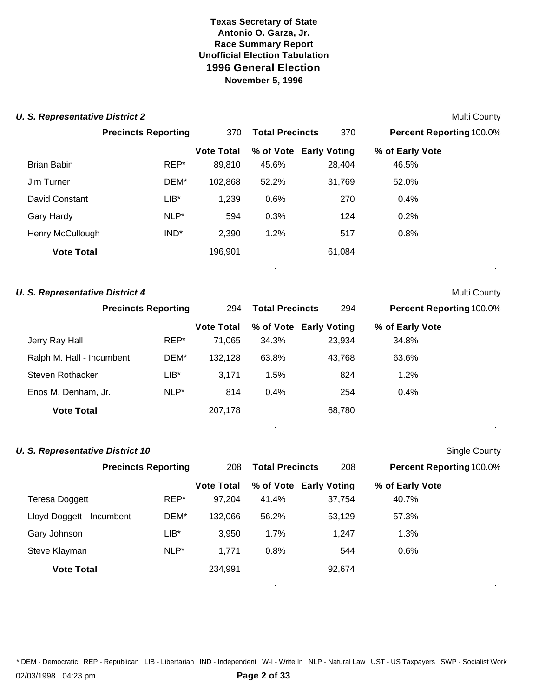| <b>U. S. Representative District 2</b> | Multi County |
|----------------------------------------|--------------|
|----------------------------------------|--------------|

|                   | <b>Precincts Reporting</b> | 370               | <b>Total Precincts</b> | 370                    | <b>Percent Reporting 100.0%</b> |  |
|-------------------|----------------------------|-------------------|------------------------|------------------------|---------------------------------|--|
|                   |                            |                   |                        |                        |                                 |  |
|                   |                            | <b>Vote Total</b> |                        | % of Vote Early Voting | % of Early Vote                 |  |
| Brian Babin       | REP*                       | 89,810            | 45.6%                  | 28,404                 | 46.5%                           |  |
| Jim Turner        | DEM*                       | 102,868           | 52.2%                  | 31,769                 | 52.0%                           |  |
| David Constant    | $LIB*$                     | 1,239             | 0.6%                   | 270                    | 0.4%                            |  |
| Gary Hardy        | NLP*                       | 594               | 0.3%                   | 124                    | 0.2%                            |  |
| Henry McCullough  | IND*                       | 2,390             | 1.2%                   | 517                    | 0.8%                            |  |
| <b>Vote Total</b> |                            | 196,901           |                        | 61,084                 |                                 |  |
|                   |                            |                   |                        |                        |                                 |  |

#### **U. S. Representative District 4** Multi County

|                           | <b>Precincts Reporting</b> | 294               | <b>Total Precincts</b> | 294                    | <b>Percent Reporting 100.0%</b> |
|---------------------------|----------------------------|-------------------|------------------------|------------------------|---------------------------------|
|                           |                            | <b>Vote Total</b> |                        | % of Vote Early Voting | % of Early Vote                 |
| Jerry Ray Hall            | REP*                       | 71.065            | 34.3%                  | 23,934                 | 34.8%                           |
| Ralph M. Hall - Incumbent | DEM*                       | 132.128           | 63.8%                  | 43,768                 | 63.6%                           |
| Steven Rothacker          | LIB*                       | 3.171             | 1.5%                   | 824                    | $1.2\%$                         |
| Enos M. Denham, Jr.       | NLP*                       | 814               | 0.4%                   | 254                    | $0.4\%$                         |
| <b>Vote Total</b>         |                            | 207.178           |                        | 68,780                 |                                 |

. .

. .

#### **U. S. Representative District 10** Single County

|                           | <b>Precincts Reporting</b> | 208               | <b>Total Precincts</b> | 208                    | <b>Percent Reporting 100.0%</b> |  |
|---------------------------|----------------------------|-------------------|------------------------|------------------------|---------------------------------|--|
|                           |                            | <b>Vote Total</b> |                        | % of Vote Early Voting | % of Early Vote                 |  |
| Teresa Doggett            | REP*                       | 97,204            | 41.4%                  | 37,754                 | 40.7%                           |  |
| Lloyd Doggett - Incumbent | DEM*                       | 132.066           | 56.2%                  | 53,129                 | 57.3%                           |  |
| Gary Johnson              | $LIB^*$                    | 3.950             | $1.7\%$                | 1,247                  | 1.3%                            |  |
| Steve Klayman             | NLP*                       | 1.771             | 0.8%                   | 544                    | 0.6%                            |  |
| <b>Vote Total</b>         |                            | 234,991           |                        | 92,674                 |                                 |  |
|                           |                            |                   |                        |                        |                                 |  |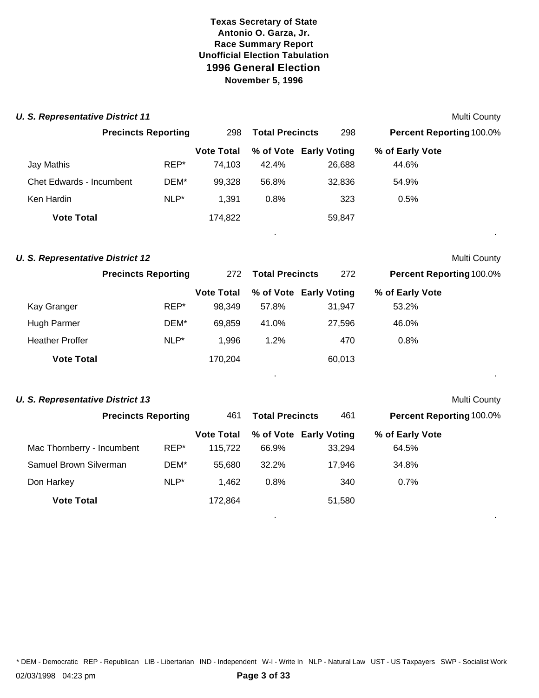| <b>U. S. Representative District 11</b> |                            |                   |                        |                        |                                 | <b>Multi County</b> |
|-----------------------------------------|----------------------------|-------------------|------------------------|------------------------|---------------------------------|---------------------|
|                                         | <b>Precincts Reporting</b> | 298               | <b>Total Precincts</b> | 298                    | Percent Reporting 100.0%        |                     |
|                                         |                            | <b>Vote Total</b> |                        | % of Vote Early Voting | % of Early Vote                 |                     |
| Jay Mathis                              | REP*                       | 74,103            | 42.4%                  | 26,688                 | 44.6%                           |                     |
| <b>Chet Edwards - Incumbent</b>         | DEM*                       | 99,328            | 56.8%                  | 32,836                 | 54.9%                           |                     |
| Ken Hardin                              | $NLP^*$                    | 1,391             | 0.8%                   | 323                    | 0.5%                            |                     |
| <b>Vote Total</b>                       |                            | 174,822           |                        | 59,847                 |                                 |                     |
| <b>U. S. Representative District 12</b> |                            |                   |                        |                        |                                 | Multi County        |
|                                         | <b>Precincts Reporting</b> | 272               | <b>Total Precincts</b> | 272                    | Percent Reporting 100.0%        |                     |
|                                         |                            | <b>Vote Total</b> |                        | % of Vote Early Voting | % of Early Vote                 |                     |
| Kay Granger                             | REP*                       | 98,349            | 57.8%                  | 31,947                 | 53.2%                           |                     |
| Hugh Parmer                             | DEM*                       | 69,859            | 41.0%                  | 27,596                 | 46.0%                           |                     |
| <b>Heather Proffer</b>                  | $NLP^*$                    | 1,996             | 1.2%                   | 470                    | 0.8%                            |                     |
| <b>Vote Total</b>                       |                            | 170,204           |                        | 60,013                 |                                 |                     |
| <b>U. S. Representative District 13</b> |                            |                   |                        |                        |                                 | Multi County        |
|                                         | <b>Precincts Reporting</b> | 461               | <b>Total Precincts</b> | 461                    | <b>Percent Reporting 100.0%</b> |                     |
|                                         |                            | <b>Vote Total</b> |                        | % of Vote Early Voting | % of Early Vote                 |                     |
| Mac Thornberry - Incumbent              | REP*                       | 115,722           | 66.9%                  | 33,294                 | 64.5%                           |                     |

| Mac Thornberry - Incumbent | REP*    | 115.722 | 66.9%   | 33.294 | 64.5% |  |
|----------------------------|---------|---------|---------|--------|-------|--|
| Samuel Brown Silverman     | DEM*    | 55.680  | 32.2%   | 17.946 | 34.8% |  |
| Don Harkey                 | $NLP^*$ | 1.462   | $0.8\%$ | 340    | 0.7%  |  |
| <b>Vote Total</b>          |         | 172.864 |         | 51,580 |       |  |

. .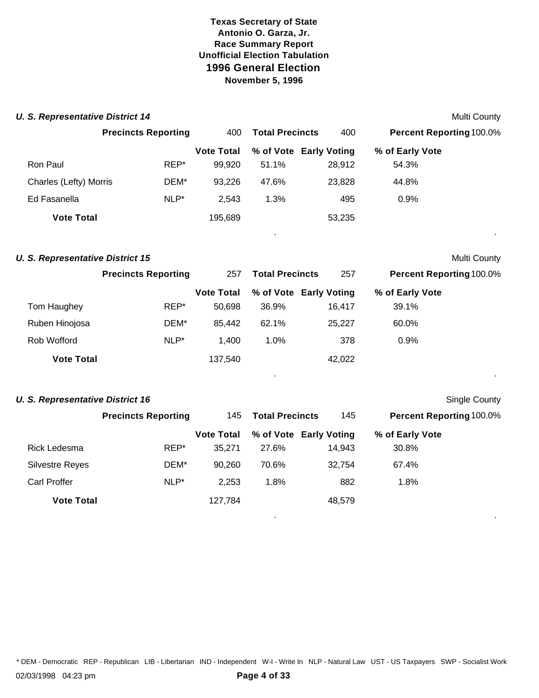| <b>U. S. Representative District 14</b> |                            |                   |                        |                        |                                 | Multi County |
|-----------------------------------------|----------------------------|-------------------|------------------------|------------------------|---------------------------------|--------------|
|                                         | <b>Precincts Reporting</b> | 400               | <b>Total Precincts</b> | 400                    | <b>Percent Reporting 100.0%</b> |              |
|                                         |                            | <b>Vote Total</b> |                        | % of Vote Early Voting | % of Early Vote                 |              |
| Ron Paul                                | REP*                       | 99,920            | 51.1%                  | 28,912                 | 54.3%                           |              |
| Charles (Lefty) Morris                  | DEM*                       | 93,226            | 47.6%                  | 23,828                 | 44.8%                           |              |
| Ed Fasanella                            | $NLP^*$                    | 2,543             | 1.3%                   | 495                    | 0.9%                            |              |
| <b>Vote Total</b>                       |                            | 195,689           |                        | 53,235                 |                                 | $\sim$       |
| <b>U. S. Representative District 15</b> |                            |                   |                        |                        |                                 | Multi County |
|                                         | <b>Precincts Reporting</b> | 257               | <b>Total Precincts</b> | 257                    | <b>Percent Reporting 100.0%</b> |              |

|                   |         | <b>Vote Total</b> |         | % of Vote Early Voting | % of Early Vote |  |
|-------------------|---------|-------------------|---------|------------------------|-----------------|--|
| Tom Haughey       | REP*    | 50.698            | 36.9%   | 16.417                 | 39.1%           |  |
| Ruben Hinojosa    | DEM*    | 85,442            | 62.1%   | 25.227                 | 60.0%           |  |
| Rob Wofford       | $NLP^*$ | 1.400             | $1.0\%$ | 378                    | 0.9%            |  |
| <b>Vote Total</b> |         | 137,540           |         | 42,022                 |                 |  |

. .

#### **U. S. Representative District 16** Single County

|                        |                            |                   |                        |                        |                                 | --- - |
|------------------------|----------------------------|-------------------|------------------------|------------------------|---------------------------------|-------|
|                        | <b>Precincts Reporting</b> | 145               | <b>Total Precincts</b> | 145                    | <b>Percent Reporting 100.0%</b> |       |
|                        |                            | <b>Vote Total</b> |                        | % of Vote Early Voting | % of Early Vote                 |       |
| Rick Ledesma           | REP*                       | 35,271            | 27.6%                  | 14,943                 | 30.8%                           |       |
| <b>Silvestre Reyes</b> | DEM*                       | 90,260            | 70.6%                  | 32.754                 | 67.4%                           |       |
| Carl Proffer           | NLP*                       | 2,253             | 1.8%                   | 882                    | 1.8%                            |       |
| <b>Vote Total</b>      |                            | 127,784           |                        | 48,579                 |                                 |       |
|                        |                            |                   |                        |                        |                                 |       |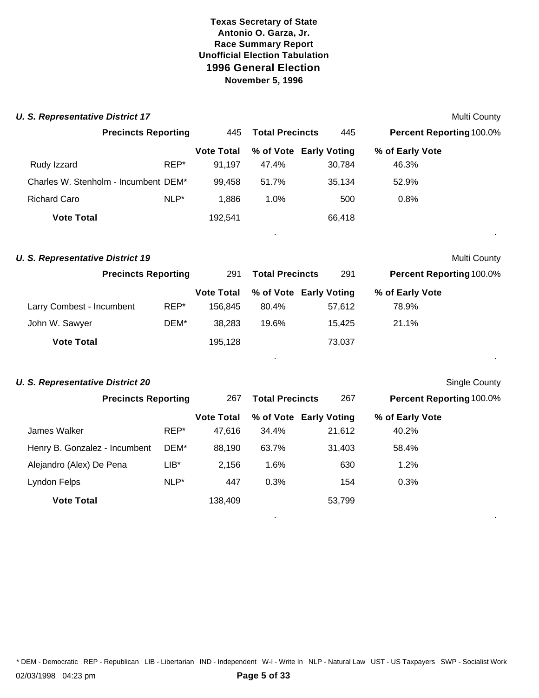| <b>U. S. Representative District 17</b> |                            |                   |                        |                        |                                 | Multi County  |
|-----------------------------------------|----------------------------|-------------------|------------------------|------------------------|---------------------------------|---------------|
|                                         | <b>Precincts Reporting</b> | 445               | <b>Total Precincts</b> | 445                    | Percent Reporting 100.0%        |               |
|                                         |                            | <b>Vote Total</b> |                        | % of Vote Early Voting | % of Early Vote                 |               |
| Rudy Izzard                             | REP*                       | 91,197            | 47.4%                  | 30,784                 | 46.3%                           |               |
| Charles W. Stenholm - Incumbent DEM*    |                            | 99,458            | 51.7%                  | 35,134                 | 52.9%                           |               |
| <b>Richard Caro</b>                     | NLP*                       | 1,886             | 1.0%                   | 500                    | 0.8%                            |               |
| <b>Vote Total</b>                       |                            | 192,541           |                        | 66,418                 |                                 |               |
| <b>U. S. Representative District 19</b> |                            |                   |                        |                        |                                 | Multi County  |
|                                         | <b>Precincts Reporting</b> | 291               | <b>Total Precincts</b> | 291                    | <b>Percent Reporting 100.0%</b> |               |
|                                         |                            | <b>Vote Total</b> |                        | % of Vote Early Voting | % of Early Vote                 |               |
| Larry Combest - Incumbent               | REP*                       | 156,845           | 80.4%                  | 57,612                 | 78.9%                           |               |
| John W. Sawyer                          | DEM*                       | 38,283            | 19.6%                  | 15,425                 | 21.1%                           |               |
| <b>Vote Total</b>                       |                            | 195,128           |                        | 73,037                 |                                 |               |
|                                         |                            |                   |                        |                        |                                 |               |
| <b>U. S. Representative District 20</b> |                            |                   |                        |                        |                                 | Single County |
|                                         | <b>Precincts Reporting</b> | 267               | <b>Total Precincts</b> | 267                    | Percent Reporting 100.0%        |               |

|                               |         | <b>Vote Total</b> |         | % of Vote Early Voting | % of Early Vote |  |
|-------------------------------|---------|-------------------|---------|------------------------|-----------------|--|
| James Walker                  | REP*    | 47,616            | 34.4%   | 21,612                 | 40.2%           |  |
| Henry B. Gonzalez - Incumbent | DEM*    | 88,190            | 63.7%   | 31,403                 | 58.4%           |  |
| Alejandro (Alex) De Pena      | $LIB^*$ | 2.156             | $1.6\%$ | 630                    | 1.2%            |  |
| Lyndon Felps                  | NLP*    | 447               | 0.3%    | 154                    | 0.3%            |  |
| <b>Vote Total</b>             |         | 138,409           |         | 53,799                 |                 |  |
|                               |         |                   |         |                        |                 |  |

. .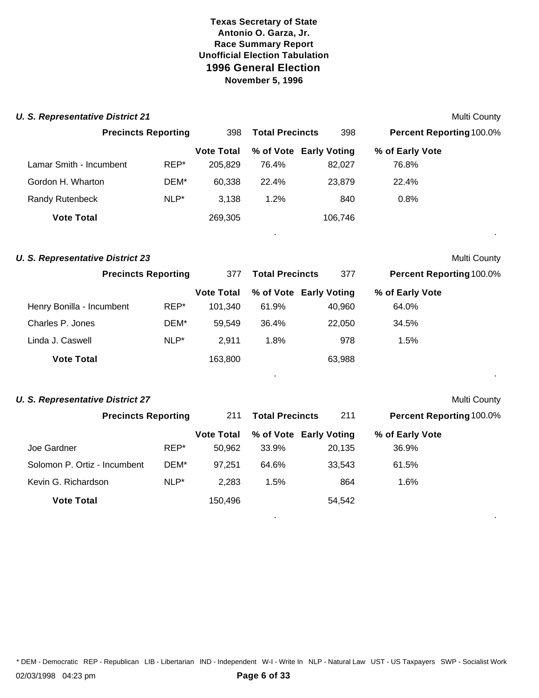| <b>U. S. Representative District 21</b> |         |                   |                        |                        |                                 | Multi County |
|-----------------------------------------|---------|-------------------|------------------------|------------------------|---------------------------------|--------------|
| <b>Precincts Reporting</b>              |         | 398               | <b>Total Precincts</b> | 398                    | <b>Percent Reporting 100.0%</b> |              |
|                                         |         | <b>Vote Total</b> |                        | % of Vote Early Voting | % of Early Vote                 |              |
| Lamar Smith - Incumbent                 | REP*    | 205,829           | 76.4%                  | 82,027                 | 76.8%                           |              |
| Gordon H. Wharton                       | DEM*    | 60,338            | 22.4%                  | 23,879                 | 22.4%                           |              |
| Randy Rutenbeck                         | $NLP^*$ | 3,138             | 1.2%                   | 840                    | 0.8%                            |              |
| <b>Vote Total</b>                       |         | 269,305           |                        | 106,746                |                                 |              |
| <b>U. S. Representative District 23</b> |         |                   |                        |                        |                                 | Multi County |
| <b>Precincts Reporting</b>              |         | 377               | <b>Total Precincts</b> | 377                    | Percent Reporting 100.0%        |              |
|                                         |         | <b>Vote Total</b> |                        | % of Vote Early Voting | % of Early Vote                 |              |
| Henry Bonilla - Incumbent               | REP*    | 101,340           | 61.9%                  | 40,960                 | 64.0%                           |              |
| Charles P. Jones                        | DEM*    | 59,549            | 36.4%                  | 22,050                 | 34.5%                           |              |
| Linda J. Caswell                        | $NLP^*$ | 2,911             | 1.8%                   | 978                    | 1.5%                            |              |
| <b>Vote Total</b>                       |         | 163,800           |                        | 63,988                 |                                 |              |
| <b>U. S. Representative District 27</b> |         |                   |                        |                        |                                 | Multi County |
| <b>Precincts Reporting</b>              |         | 211               | <b>Total Precincts</b> | 211                    | Percent Reporting 100.0%        |              |
|                                         |         | <b>Vote Total</b> |                        | % of Vote Early Voting | % of Early Vote                 |              |
| Joe Gardner                             | REP*    | 50,962            | 33.9%                  | 20,135                 | 36.9%                           |              |
| Solomon P. Ortiz - Incumbent            | DEM*    | 97,251            | 64.6%                  | 33,543                 | 61.5%                           |              |
| Kevin G. Richardson                     | $NLP^*$ | 2,283             | 1.5%                   | 864                    | 1.6%                            |              |
| <b>Vote Total</b>                       |         | 150,496           |                        | 54,542                 |                                 |              |

\* DEM - Democratic REP - Republican LIB - Libertarian IND - Independent W-I - Write In NLP - Natural Law UST - US Taxpayers SWP - Socialist Work

. .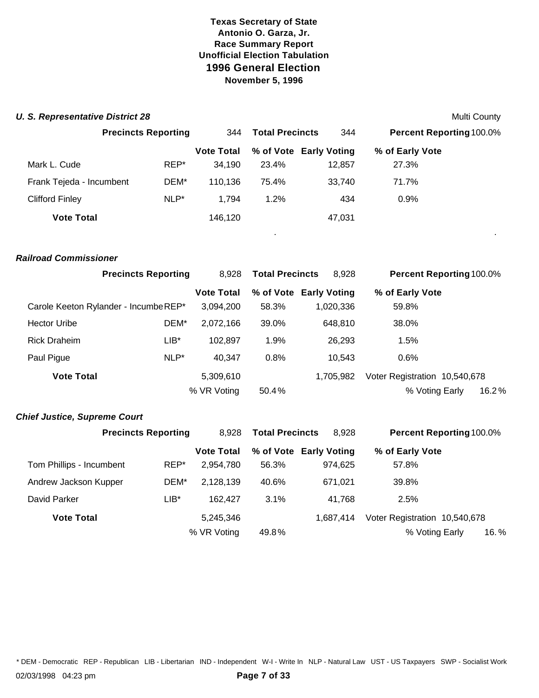#### **U. S. Representative District 28** Multi County

|                          | <b>Precincts Reporting</b> |                   | <b>Total Precincts</b> | 344                    | <b>Percent Reporting 100.0%</b> |  |
|--------------------------|----------------------------|-------------------|------------------------|------------------------|---------------------------------|--|
|                          |                            | <b>Vote Total</b> |                        | % of Vote Early Voting | % of Early Vote                 |  |
| Mark L. Cude             | REP*                       | 34.190            | 23.4%                  | 12,857                 | 27.3%                           |  |
| Frank Tejeda - Incumbent | DEM*                       | 110,136           | 75.4%                  | 33.740                 | 71.7%                           |  |
| Clifford Finley          | NLP*                       | 1.794             | 1.2%                   | 434                    | $0.9\%$                         |  |
| <b>Vote Total</b>        |                            | 146,120           |                        | 47,031                 |                                 |  |

. .

#### *Railroad Commissioner*

| <b>Precincts Reporting</b>            |      | 8.928             | <b>Total Precincts</b> | 8,928                  | <b>Percent Reporting 100.0%</b> |
|---------------------------------------|------|-------------------|------------------------|------------------------|---------------------------------|
|                                       |      | <b>Vote Total</b> |                        | % of Vote Early Voting | % of Early Vote                 |
| Carole Keeton Rylander - Incumbe REP* |      | 3,094,200         | 58.3%                  | 1,020,336              | 59.8%                           |
| <b>Hector Uribe</b>                   | DEM* | 2,072,166         | 39.0%                  | 648.810                | 38.0%                           |
| <b>Rick Draheim</b>                   | LIB* | 102.897           | 1.9%                   | 26.293                 | 1.5%                            |
| Paul Pigue                            | NLP* | 40,347            | 0.8%                   | 10.543                 | $0.6\%$                         |
| <b>Vote Total</b>                     |      | 5,309,610         |                        | 1.705.982              | Voter Registration 10,540,678   |
|                                       |      | % VR Voting       | 50.4%                  |                        | % Voting Early<br>16.2%         |

#### *Chief Justice, Supreme Court*

|                          | <b>Precincts Reporting</b> |                   | <b>Total Precincts</b> | 8,928                  | <b>Percent Reporting 100.0%</b> |  |
|--------------------------|----------------------------|-------------------|------------------------|------------------------|---------------------------------|--|
|                          |                            | <b>Vote Total</b> |                        | % of Vote Early Voting | % of Early Vote                 |  |
| Tom Phillips - Incumbent | REP*                       | 2,954,780         | 56.3%                  | 974.625                | 57.8%                           |  |
| Andrew Jackson Kupper    | DEM*                       | 2,128,139         | 40.6%                  | 671.021                | 39.8%                           |  |
| David Parker             | $LIB*$                     | 162,427           | 3.1%                   | 41,768                 | 2.5%                            |  |
| <b>Vote Total</b>        |                            | 5,245,346         |                        | 1.687.414              | Voter Registration 10,540,678   |  |
|                          |                            | % VR Voting       | 49.8%                  |                        | % Voting Early<br>16. %         |  |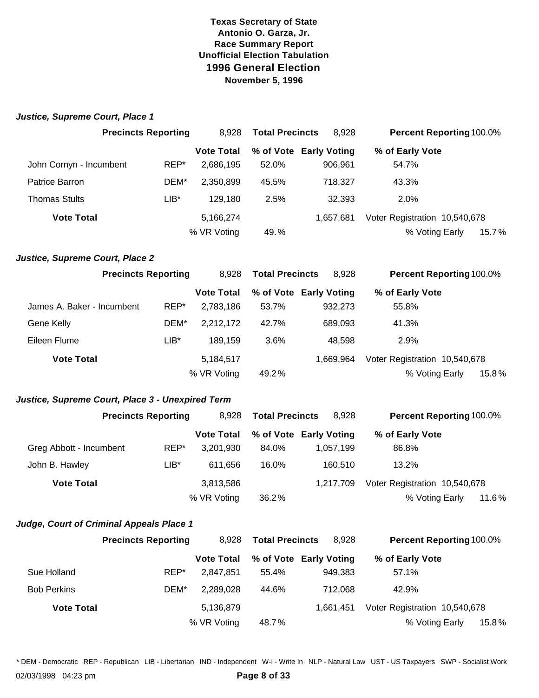| <b>Precincts Reporting</b>                       |                            | 8,928             | <b>Total Precincts</b> | 8,928                  | <b>Percent Reporting 100.0%</b> |       |
|--------------------------------------------------|----------------------------|-------------------|------------------------|------------------------|---------------------------------|-------|
|                                                  |                            | <b>Vote Total</b> |                        | % of Vote Early Voting | % of Early Vote                 |       |
| John Cornyn - Incumbent                          | REP*                       | 2,686,195         | 52.0%                  | 906,961                | 54.7%                           |       |
| Patrice Barron                                   | DEM*                       | 2,350,899         | 45.5%                  | 718,327                | 43.3%                           |       |
| <b>Thomas Stults</b>                             | $LIB*$                     | 129,180           | 2.5%                   | 32,393                 | 2.0%                            |       |
| <b>Vote Total</b>                                |                            | 5,166,274         |                        | 1,657,681              | Voter Registration 10,540,678   |       |
|                                                  |                            | % VR Voting       | 49.%                   |                        | % Voting Early                  | 15.7% |
| Justice, Supreme Court, Place 2                  |                            |                   |                        |                        |                                 |       |
|                                                  | <b>Precincts Reporting</b> | 8,928             | <b>Total Precincts</b> | 8,928                  | <b>Percent Reporting 100.0%</b> |       |
|                                                  |                            | <b>Vote Total</b> |                        | % of Vote Early Voting | % of Early Vote                 |       |
| James A. Baker - Incumbent                       | REP*                       | 2,783,186         | 53.7%                  | 932,273                | 55.8%                           |       |
| Gene Kelly                                       | DEM*                       | 2,212,172         | 42.7%                  | 689,093                | 41.3%                           |       |
| Eileen Flume                                     | $LIB*$                     | 189,159           | 3.6%                   | 48,598                 | 2.9%                            |       |
| <b>Vote Total</b>                                |                            | 5,184,517         |                        | 1,669,964              | Voter Registration 10,540,678   |       |
|                                                  |                            | % VR Voting       | 49.2%                  |                        | % Voting Early                  | 15.8% |
| Justice, Supreme Court, Place 3 - Unexpired Term |                            |                   |                        |                        |                                 |       |
|                                                  | <b>Precincts Reporting</b> | 8,928             | <b>Total Precincts</b> | 8,928                  | <b>Percent Reporting 100.0%</b> |       |
|                                                  |                            | <b>Vote Total</b> |                        | % of Vote Early Voting | % of Early Vote                 |       |
| Greg Abbott - Incumbent                          | REP*                       | 3,201,930         | 84.0%                  | 1,057,199              | 86.8%                           |       |
| John B. Hawley                                   | $LIB*$                     | 611,656           | 16.0%                  | 160,510                | 13.2%                           |       |
| <b>Vote Total</b>                                |                            | 3,813,586         |                        | 1,217,709              | Voter Registration 10,540,678   |       |
|                                                  |                            | % VR Voting       | 36.2%                  |                        | % Voting Early                  | 11.6% |

#### *Judge, Court of Criminal Appeals Place 1*

|                    | <b>Precincts Reporting</b> | 8.928             | <b>Total Precincts</b> | 8.928                  | <b>Percent Reporting 100.0%</b> |
|--------------------|----------------------------|-------------------|------------------------|------------------------|---------------------------------|
|                    |                            | <b>Vote Total</b> |                        | % of Vote Early Voting | % of Early Vote                 |
| Sue Holland        | REP*                       | 2.847.851         | 55.4%                  | 949.383                | 57.1%                           |
| <b>Bob Perkins</b> | DEM*                       | 2,289,028         | 44.6%                  | 712.068                | 42.9%                           |
| <b>Vote Total</b>  |                            | 5,136,879         |                        | 1.661.451              | Voter Registration 10,540,678   |
|                    |                            | % VR Voting       | 48.7%                  |                        | % Voting Early<br>15.8%         |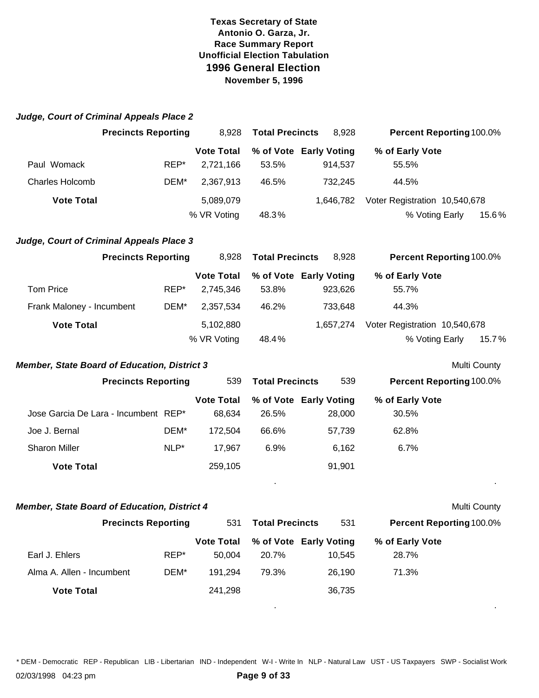| Judge, Court of Criminal Appeals Place 2            |      |                                |                        |                                   |                               |              |
|-----------------------------------------------------|------|--------------------------------|------------------------|-----------------------------------|-------------------------------|--------------|
| <b>Precincts Reporting</b>                          |      | 8,928                          | <b>Total Precincts</b> | 8,928                             | Percent Reporting 100.0%      |              |
|                                                     |      | <b>Vote Total</b>              |                        | % of Vote Early Voting            | % of Early Vote               |              |
| Paul Womack                                         | REP* | 2,721,166                      | 53.5%                  | 914,537                           | 55.5%                         |              |
| <b>Charles Holcomb</b>                              | DEM* | 2,367,913                      | 46.5%                  | 732,245                           | 44.5%                         |              |
| <b>Vote Total</b>                                   |      | 5,089,079                      |                        | 1,646,782                         | Voter Registration 10,540,678 |              |
|                                                     |      | % VR Voting                    | 48.3%                  |                                   | % Voting Early                | 15.6%        |
| Judge, Court of Criminal Appeals Place 3            |      |                                |                        |                                   |                               |              |
| <b>Precincts Reporting</b>                          |      | 8,928                          | <b>Total Precincts</b> | 8,928                             | Percent Reporting 100.0%      |              |
| <b>Tom Price</b>                                    | REP* | <b>Vote Total</b><br>2,745,346 | 53.8%                  | % of Vote Early Voting<br>923,626 | % of Early Vote<br>55.7%      |              |
| Frank Maloney - Incumbent                           | DEM* | 2,357,534                      | 46.2%                  | 733,648                           | 44.3%                         |              |
| <b>Vote Total</b>                                   |      | 5,102,880                      |                        | 1,657,274                         | Voter Registration 10,540,678 |              |
|                                                     |      | % VR Voting                    | 48.4%                  |                                   | % Voting Early                | 15.7%        |
| <b>Member, State Board of Education, District 3</b> |      |                                |                        |                                   |                               | Multi County |
| <b>Precincts Reporting</b>                          |      | 539                            | <b>Total Precincts</b> | 539                               | Percent Reporting 100.0%      |              |
|                                                     |      | <b>Vote Total</b>              |                        | % of Vote Early Voting            | % of Early Vote               |              |
| Jose Garcia De Lara - Incumbent REP*                |      | 68,634                         | 26.5%                  | 28,000                            | 30.5%                         |              |
| Joe J. Bernal                                       | DEM* | 172,504                        | 66.6%                  | 57,739                            | 62.8%                         |              |
| <b>Sharon Miller</b>                                | NLP* | 17,967                         | 6.9%                   | 6,162                             | 6.7%                          |              |
| <b>Vote Total</b>                                   |      | 259,105                        |                        | 91,901                            |                               |              |
| <b>Member, State Board of Education, District 4</b> |      |                                |                        |                                   |                               | Multi County |
| <b>Precincts Reporting</b>                          |      | 531                            | <b>Total Precincts</b> | 531                               | Percent Reporting 100.0%      |              |
|                                                     |      | <b>Vote Total</b>              |                        | % of Vote Early Voting            | % of Early Vote               |              |
| Earl J. Ehlers                                      | REP* | 50,004                         | 20.7%                  | 10,545                            | 28.7%                         |              |
| Alma A. Allen - Incumbent                           | DEM* | 191,294                        | 79.3%                  | 26,190                            | 71.3%                         |              |
| <b>Vote Total</b>                                   |      | 241,298                        |                        | 36,735                            |                               |              |

\* DEM - Democratic REP - Republican LIB - Libertarian IND - Independent W-I - Write In NLP - Natural Law UST - US Taxpayers SWP - Socialist Work

. .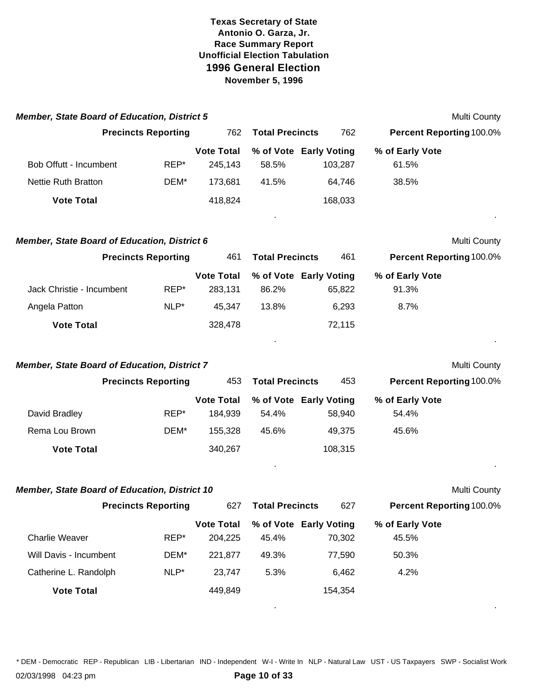| <b>Member, State Board of Education, District 5</b>  |                            |                              |                        |                                   |                                 | Multi County |
|------------------------------------------------------|----------------------------|------------------------------|------------------------|-----------------------------------|---------------------------------|--------------|
|                                                      | <b>Precincts Reporting</b> | 762                          | <b>Total Precincts</b> | 762                               | <b>Percent Reporting 100.0%</b> |              |
| Bob Offutt - Incumbent                               | REP*                       | <b>Vote Total</b><br>245,143 | 58.5%                  | % of Vote Early Voting<br>103,287 | % of Early Vote<br>61.5%        |              |
| <b>Nettie Ruth Bratton</b>                           | DEM*                       | 173,681                      | 41.5%                  | 64,746                            | 38.5%                           |              |
| <b>Vote Total</b>                                    |                            | 418,824                      |                        | 168,033                           |                                 |              |
| <b>Member, State Board of Education, District 6</b>  |                            |                              |                        |                                   |                                 | Multi County |
|                                                      | <b>Precincts Reporting</b> | 461                          | <b>Total Precincts</b> | 461                               | <b>Percent Reporting 100.0%</b> |              |
| Jack Christie - Incumbent                            | REP*                       | <b>Vote Total</b><br>283,131 | 86.2%                  | % of Vote Early Voting<br>65,822  | % of Early Vote<br>91.3%        |              |
| Angela Patton                                        | NLP*                       | 45,347                       | 13.8%                  | 6,293                             | 8.7%                            |              |
| <b>Vote Total</b>                                    |                            | 328,478                      |                        | 72,115                            |                                 |              |
| <b>Member, State Board of Education, District 7</b>  |                            |                              |                        |                                   |                                 | Multi County |
|                                                      | <b>Precincts Reporting</b> | 453                          | <b>Total Precincts</b> | 453                               | <b>Percent Reporting 100.0%</b> |              |
| David Bradley                                        | REP*                       | <b>Vote Total</b><br>184,939 | 54.4%                  | % of Vote Early Voting<br>58,940  | % of Early Vote<br>54.4%        |              |
| Rema Lou Brown                                       | DEM*                       | 155,328                      | 45.6%                  | 49,375                            | 45.6%                           |              |
| <b>Vote Total</b>                                    |                            | 340,267                      |                        | 108,315                           |                                 |              |
| <b>Member, State Board of Education, District 10</b> |                            |                              |                        |                                   |                                 | Multi County |
|                                                      | <b>Precincts Reporting</b> | 627                          | <b>Total Precincts</b> | 627                               | <b>Percent Reporting 100.0%</b> |              |
| <b>Charlie Weaver</b>                                | REP*                       | <b>Vote Total</b><br>204,225 | 45.4%                  | % of Vote Early Voting<br>70,302  | % of Early Vote<br>45.5%        |              |
| Will Davis - Incumbent                               | DEM*                       | 221,877                      | 49.3%                  | 77,590                            | 50.3%                           |              |
| Catherine L. Randolph                                | NLP*                       | 23,747                       | 5.3%                   | 6,462                             | 4.2%                            |              |
| <b>Vote Total</b>                                    |                            | 449,849                      |                        | 154,354                           |                                 |              |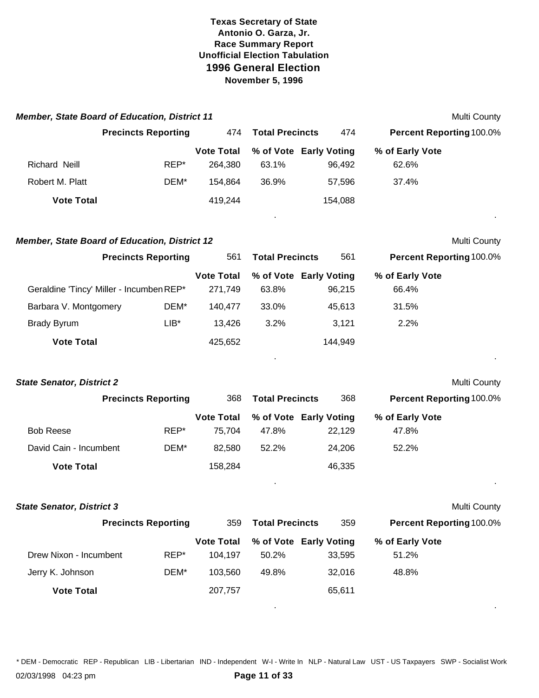| <b>Member, State Board of Education, District 11</b> |                            |                              |                        |                                  |                                 | Multi County |
|------------------------------------------------------|----------------------------|------------------------------|------------------------|----------------------------------|---------------------------------|--------------|
|                                                      | <b>Precincts Reporting</b> | 474                          | <b>Total Precincts</b> | 474                              | <b>Percent Reporting 100.0%</b> |              |
| Richard Neill                                        | REP*                       | <b>Vote Total</b><br>264,380 | 63.1%                  | % of Vote Early Voting<br>96,492 | % of Early Vote<br>62.6%        |              |
| Robert M. Platt                                      | DEM*                       | 154,864                      | 36.9%                  | 57,596                           | 37.4%                           |              |
| <b>Vote Total</b>                                    |                            | 419,244                      |                        | 154,088                          |                                 |              |
| <b>Member, State Board of Education, District 12</b> |                            |                              |                        |                                  |                                 | Multi County |
|                                                      | <b>Precincts Reporting</b> | 561                          | <b>Total Precincts</b> | 561                              | <b>Percent Reporting 100.0%</b> |              |
| Geraldine 'Tincy' Miller - Incumben REP*             |                            | <b>Vote Total</b><br>271,749 | 63.8%                  | % of Vote Early Voting<br>96,215 | % of Early Vote<br>66.4%        |              |
| Barbara V. Montgomery                                | DEM*                       | 140,477                      | 33.0%                  | 45,613                           | 31.5%                           |              |
| <b>Brady Byrum</b>                                   | $LIB*$                     | 13,426                       | 3.2%                   | 3,121                            | 2.2%                            |              |
| <b>Vote Total</b>                                    |                            | 425,652                      |                        | 144,949                          |                                 |              |
|                                                      |                            |                              |                        |                                  |                                 |              |
| <b>State Senator, District 2</b>                     |                            |                              |                        |                                  |                                 | Multi County |
|                                                      | <b>Precincts Reporting</b> | 368                          | <b>Total Precincts</b> | 368                              | <b>Percent Reporting 100.0%</b> |              |
|                                                      |                            | <b>Vote Total</b>            |                        | % of Vote Early Voting           | % of Early Vote                 |              |
| <b>Bob Reese</b>                                     | REP*                       | 75,704                       | 47.8%                  | 22,129                           | 47.8%                           |              |
| David Cain - Incumbent                               | DEM*                       | 82,580                       | 52.2%                  | 24,206                           | 52.2%                           |              |
| <b>Vote Total</b>                                    |                            | 158,284                      |                        | 46,335                           |                                 |              |
| <b>State Senator, District 3</b>                     |                            |                              |                        |                                  |                                 | Multi County |
|                                                      | <b>Precincts Reporting</b> | 359                          | <b>Total Precincts</b> | 359                              | Percent Reporting 100.0%        |              |
|                                                      |                            | <b>Vote Total</b>            |                        | % of Vote Early Voting           | % of Early Vote                 |              |
| Drew Nixon - Incumbent                               | REP*                       | 104,197                      | 50.2%                  | 33,595                           | 51.2%                           |              |
| Jerry K. Johnson                                     | DEM*                       | 103,560                      | 49.8%                  | 32,016                           | 48.8%                           |              |
| <b>Vote Total</b>                                    |                            | 207,757                      |                        | 65,611                           |                                 |              |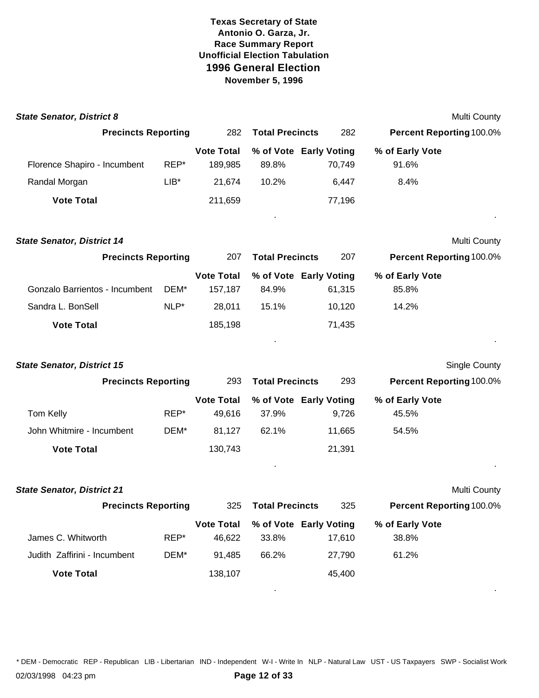| <b>State Senator, District 8</b>  |        |                              |                                 |        |                          | Multi County         |
|-----------------------------------|--------|------------------------------|---------------------------------|--------|--------------------------|----------------------|
| <b>Precincts Reporting</b>        |        | 282                          | <b>Total Precincts</b>          | 282    | Percent Reporting 100.0% |                      |
| Florence Shapiro - Incumbent      | REP*   | <b>Vote Total</b><br>189,985 | % of Vote Early Voting<br>89.8% | 70,749 | % of Early Vote<br>91.6% |                      |
| Randal Morgan                     | $LIB*$ | 21,674                       | 10.2%                           | 6,447  | 8.4%                     |                      |
| <b>Vote Total</b>                 |        | 211,659                      |                                 | 77,196 |                          |                      |
| <b>State Senator, District 14</b> |        |                              |                                 |        |                          | <b>Multi County</b>  |
| <b>Precincts Reporting</b>        |        | 207                          | <b>Total Precincts</b>          | 207    | Percent Reporting 100.0% |                      |
| Gonzalo Barrientos - Incumbent    | DEM*   | <b>Vote Total</b><br>157,187 | % of Vote Early Voting<br>84.9% | 61,315 | % of Early Vote<br>85.8% |                      |
| Sandra L. BonSell                 | NLP*   | 28,011                       | 15.1%                           | 10,120 | 14.2%                    |                      |
| <b>Vote Total</b>                 |        | 185,198                      |                                 | 71,435 |                          |                      |
| <b>State Senator, District 15</b> |        |                              |                                 |        |                          | <b>Single County</b> |
| <b>Precincts Reporting</b>        |        | 293                          | <b>Total Precincts</b>          | 293    | Percent Reporting 100.0% |                      |
|                                   |        | <b>Vote Total</b>            | % of Vote Early Voting          |        | % of Early Vote          |                      |
| Tom Kelly                         | REP*   | 49,616                       | 37.9%                           | 9,726  | 45.5%                    |                      |
| John Whitmire - Incumbent         | DEM*   | 81,127                       | 62.1%                           | 11,665 | 54.5%                    |                      |
| <b>Vote Total</b>                 |        | 130,743                      |                                 | 21,391 |                          |                      |
| <b>State Senator, District 21</b> |        |                              |                                 |        |                          | <b>Multi County</b>  |
| <b>Precincts Reporting</b>        |        | 325                          | <b>Total Precincts</b>          | 325    | Percent Reporting 100.0% |                      |
|                                   |        | <b>Vote Total</b>            | % of Vote Early Voting          |        | % of Early Vote          |                      |
| James C. Whitworth                | REP*   | 46,622                       | 33.8%                           | 17,610 | 38.8%                    |                      |
| Judith Zaffirini - Incumbent      | DEM*   | 91,485                       | 66.2%                           | 27,790 | 61.2%                    |                      |
| <b>Vote Total</b>                 |        | 138,107                      |                                 | 45,400 |                          |                      |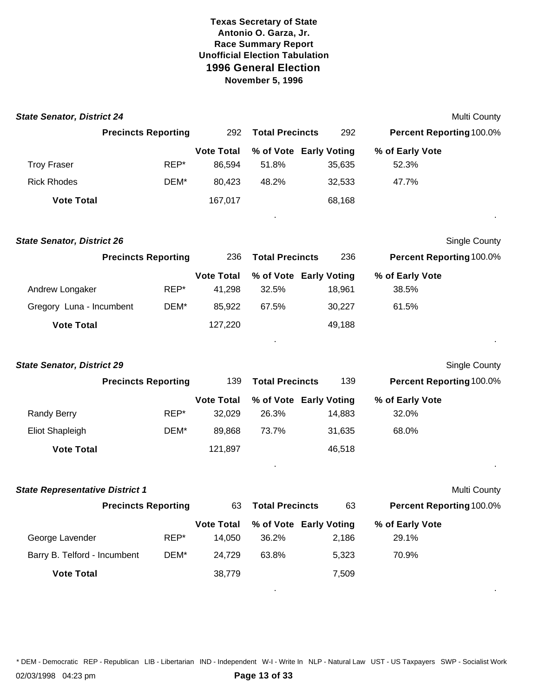| <b>State Senator, District 24</b>      |                            |                   |                        |                        |                          | <b>Multi County</b>  |
|----------------------------------------|----------------------------|-------------------|------------------------|------------------------|--------------------------|----------------------|
|                                        | <b>Precincts Reporting</b> | 292               | <b>Total Precincts</b> | 292                    | Percent Reporting 100.0% |                      |
|                                        |                            | <b>Vote Total</b> |                        | % of Vote Early Voting | % of Early Vote          |                      |
| <b>Troy Fraser</b>                     | REP*                       | 86,594            | 51.8%                  | 35,635                 | 52.3%                    |                      |
| <b>Rick Rhodes</b>                     | DEM*                       | 80,423            | 48.2%                  | 32,533                 | 47.7%                    |                      |
| <b>Vote Total</b>                      |                            | 167,017           |                        | 68,168                 |                          |                      |
| <b>State Senator, District 26</b>      |                            |                   |                        |                        |                          | <b>Single County</b> |
|                                        | <b>Precincts Reporting</b> | 236               | <b>Total Precincts</b> | 236                    | Percent Reporting 100.0% |                      |
|                                        |                            | <b>Vote Total</b> |                        | % of Vote Early Voting | % of Early Vote          |                      |
| Andrew Longaker                        | REP*                       | 41,298            | 32.5%                  | 18,961                 | 38.5%                    |                      |
| Gregory Luna - Incumbent               | DEM*                       | 85,922            | 67.5%                  | 30,227                 | 61.5%                    |                      |
| <b>Vote Total</b>                      |                            | 127,220           |                        | 49,188                 |                          |                      |
| <b>State Senator, District 29</b>      |                            |                   |                        |                        |                          | <b>Single County</b> |
|                                        | <b>Precincts Reporting</b> | 139               | <b>Total Precincts</b> | 139                    | Percent Reporting 100.0% |                      |
|                                        |                            | <b>Vote Total</b> |                        | % of Vote Early Voting | % of Early Vote          |                      |
| <b>Randy Berry</b>                     | REP*                       | 32,029            | 26.3%                  | 14,883                 | 32.0%                    |                      |
| <b>Eliot Shapleigh</b>                 | DEM*                       | 89,868            | 73.7%                  | 31,635                 | 68.0%                    |                      |
| <b>Vote Total</b>                      |                            | 121,897           |                        | 46,518                 |                          |                      |
| <b>State Representative District 1</b> |                            |                   |                        |                        |                          | <b>Multi County</b>  |
|                                        | <b>Precincts Reporting</b> | 63                | <b>Total Precincts</b> | 63                     | Percent Reporting 100.0% |                      |
|                                        |                            | <b>Vote Total</b> |                        | % of Vote Early Voting | % of Early Vote          |                      |
| George Lavender                        | REP*                       | 14,050            | 36.2%                  | 2,186                  | 29.1%                    |                      |
| Barry B. Telford - Incumbent           | DEM*                       | 24,729            | 63.8%                  | 5,323                  | 70.9%                    |                      |
| <b>Vote Total</b>                      |                            | 38,779            |                        | 7,509                  |                          |                      |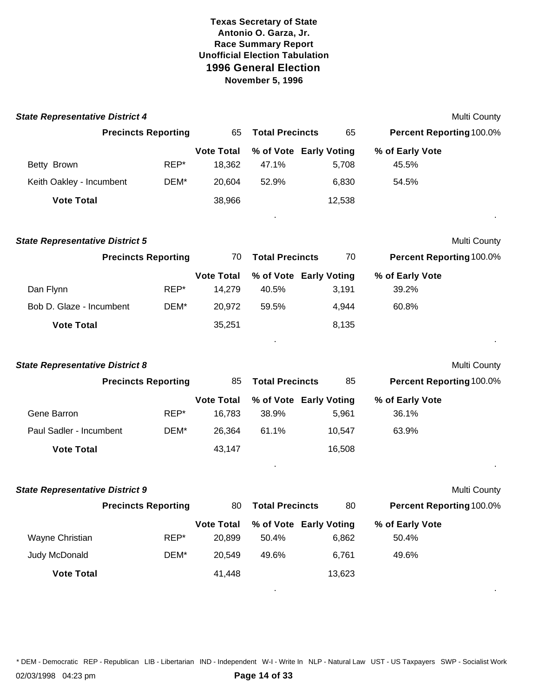| <b>State Representative District 4</b> |                            |                             |                                 |        |                                 | Multi County |
|----------------------------------------|----------------------------|-----------------------------|---------------------------------|--------|---------------------------------|--------------|
|                                        | <b>Precincts Reporting</b> | 65                          | <b>Total Precincts</b>          | 65     | <b>Percent Reporting 100.0%</b> |              |
| Betty Brown                            | REP*                       | <b>Vote Total</b><br>18,362 | % of Vote Early Voting<br>47.1% | 5,708  | % of Early Vote<br>45.5%        |              |
| Keith Oakley - Incumbent               | DEM*                       | 20,604                      | 52.9%                           | 6,830  | 54.5%                           |              |
| <b>Vote Total</b>                      |                            | 38,966                      |                                 | 12,538 |                                 |              |
| <b>State Representative District 5</b> |                            |                             |                                 |        |                                 | Multi County |
|                                        | <b>Precincts Reporting</b> | 70                          | <b>Total Precincts</b>          | 70     | <b>Percent Reporting 100.0%</b> |              |
| Dan Flynn                              | REP*                       | <b>Vote Total</b><br>14,279 | % of Vote Early Voting<br>40.5% | 3,191  | % of Early Vote<br>39.2%        |              |
| Bob D. Glaze - Incumbent               | DEM*                       | 20,972                      | 59.5%                           | 4,944  | 60.8%                           |              |
| <b>Vote Total</b>                      |                            | 35,251                      |                                 | 8,135  |                                 |              |
| <b>State Representative District 8</b> |                            |                             |                                 |        |                                 | Multi County |
|                                        | <b>Precincts Reporting</b> | 85                          | <b>Total Precincts</b>          | 85     | <b>Percent Reporting 100.0%</b> |              |
|                                        |                            | <b>Vote Total</b>           | % of Vote Early Voting          |        | % of Early Vote                 |              |
| Gene Barron                            | REP*                       | 16,783                      | 38.9%                           | 5,961  | 36.1%                           |              |
| Paul Sadler - Incumbent                | DEM*                       | 26,364                      | 61.1%                           | 10,547 | 63.9%                           |              |
| <b>Vote Total</b>                      |                            | 43,147                      |                                 | 16,508 |                                 |              |
| <b>State Representative District 9</b> |                            |                             |                                 |        |                                 | Multi County |
|                                        | <b>Precincts Reporting</b> | 80                          | <b>Total Precincts</b>          | 80     | Percent Reporting 100.0%        |              |
|                                        |                            | <b>Vote Total</b>           | % of Vote Early Voting          |        | % of Early Vote                 |              |
| Wayne Christian                        | REP*                       | 20,899                      | 50.4%                           | 6,862  | 50.4%                           |              |
| Judy McDonald                          | DEM*                       | 20,549                      | 49.6%                           | 6,761  | 49.6%                           |              |
| <b>Vote Total</b>                      |                            | 41,448                      |                                 | 13,623 |                                 |              |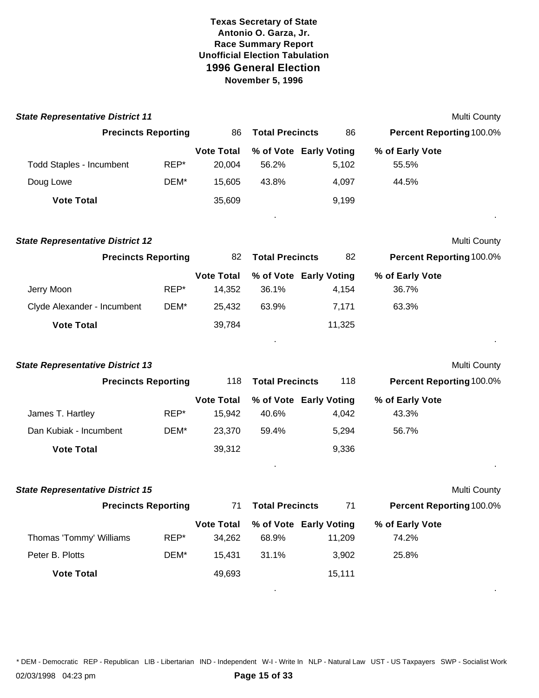| <b>State Representative District 11</b> |      |                             |                        |                                  |                                 | Multi County        |
|-----------------------------------------|------|-----------------------------|------------------------|----------------------------------|---------------------------------|---------------------|
| <b>Precincts Reporting</b>              |      | 86                          | <b>Total Precincts</b> | 86                               | <b>Percent Reporting 100.0%</b> |                     |
| <b>Todd Staples - Incumbent</b>         | REP* | <b>Vote Total</b><br>20,004 | 56.2%                  | % of Vote Early Voting<br>5,102  | % of Early Vote<br>55.5%        |                     |
| Doug Lowe                               | DEM* | 15,605                      | 43.8%                  | 4,097                            | 44.5%                           |                     |
| <b>Vote Total</b>                       |      | 35,609                      |                        | 9,199                            |                                 |                     |
| <b>State Representative District 12</b> |      |                             |                        |                                  |                                 | <b>Multi County</b> |
| <b>Precincts Reporting</b>              |      | 82                          | <b>Total Precincts</b> | 82                               | <b>Percent Reporting 100.0%</b> |                     |
| Jerry Moon                              | REP* | <b>Vote Total</b><br>14,352 | 36.1%                  | % of Vote Early Voting<br>4,154  | % of Early Vote<br>36.7%        |                     |
| Clyde Alexander - Incumbent             | DEM* | 25,432                      | 63.9%                  | 7,171                            | 63.3%                           |                     |
| <b>Vote Total</b>                       |      | 39,784                      |                        | 11,325                           |                                 |                     |
| <b>State Representative District 13</b> |      |                             |                        |                                  |                                 | <b>Multi County</b> |
| <b>Precincts Reporting</b>              |      | 118                         | <b>Total Precincts</b> | 118                              | <b>Percent Reporting 100.0%</b> |                     |
| James T. Hartley                        | REP* | <b>Vote Total</b><br>15,942 | 40.6%                  | % of Vote Early Voting<br>4,042  | % of Early Vote<br>43.3%        |                     |
| Dan Kubiak - Incumbent                  | DEM* | 23,370                      | 59.4%                  | 5,294                            | 56.7%                           |                     |
| <b>Vote Total</b>                       |      | 39,312                      |                        | 9,336                            |                                 |                     |
| <b>State Representative District 15</b> |      |                             |                        |                                  |                                 | <b>Multi County</b> |
| <b>Precincts Reporting</b>              |      | 71                          | <b>Total Precincts</b> | 71                               | <b>Percent Reporting 100.0%</b> |                     |
| Thomas 'Tommy' Williams                 | REP* | <b>Vote Total</b><br>34,262 | 68.9%                  | % of Vote Early Voting<br>11,209 | % of Early Vote<br>74.2%        |                     |
| Peter B. Plotts                         | DEM* | 15,431                      | 31.1%                  | 3,902                            | 25.8%                           |                     |
| <b>Vote Total</b>                       |      | 49,693                      |                        | 15,111                           |                                 |                     |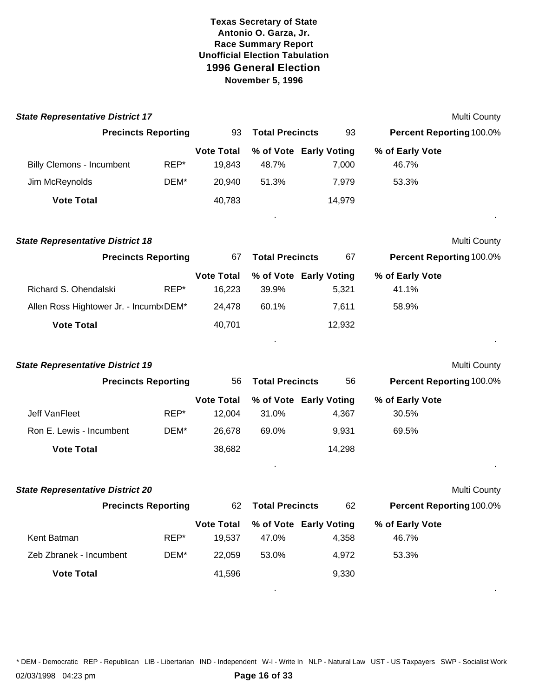| <b>State Representative District 17</b> |      |                             |                        |                                 |                                 | <b>Multi County</b> |
|-----------------------------------------|------|-----------------------------|------------------------|---------------------------------|---------------------------------|---------------------|
| <b>Precincts Reporting</b>              |      | 93                          | <b>Total Precincts</b> | 93                              | Percent Reporting 100.0%        |                     |
| <b>Billy Clemons - Incumbent</b>        | REP* | <b>Vote Total</b><br>19,843 | 48.7%                  | % of Vote Early Voting<br>7,000 | % of Early Vote<br>46.7%        |                     |
| Jim McReynolds                          | DEM* | 20,940                      | 51.3%                  | 7,979                           | 53.3%                           |                     |
| <b>Vote Total</b>                       |      | 40,783                      |                        | 14,979                          |                                 |                     |
| <b>State Representative District 18</b> |      |                             |                        |                                 |                                 | Multi County        |
| <b>Precincts Reporting</b>              |      | 67                          | <b>Total Precincts</b> | 67                              | Percent Reporting 100.0%        |                     |
| Richard S. Ohendalski                   | REP* | <b>Vote Total</b><br>16,223 | 39.9%                  | % of Vote Early Voting<br>5,321 | % of Early Vote<br>41.1%        |                     |
| Allen Ross Hightower Jr. - Incumb DEM*  |      | 24,478                      | 60.1%                  | 7,611                           | 58.9%                           |                     |
| <b>Vote Total</b>                       |      | 40,701                      |                        | 12,932                          |                                 |                     |
| <b>State Representative District 19</b> |      |                             |                        |                                 |                                 | <b>Multi County</b> |
| <b>Precincts Reporting</b>              |      | 56                          | <b>Total Precincts</b> | 56                              | Percent Reporting 100.0%        |                     |
| Jeff VanFleet                           | REP* | <b>Vote Total</b><br>12,004 | 31.0%                  | % of Vote Early Voting<br>4,367 | % of Early Vote<br>30.5%        |                     |
| Ron E. Lewis - Incumbent                | DEM* | 26,678                      | 69.0%                  | 9,931                           | 69.5%                           |                     |
| <b>Vote Total</b>                       |      | 38,682                      |                        | 14,298                          |                                 |                     |
|                                         |      |                             |                        |                                 |                                 |                     |
| <b>State Representative District 20</b> |      |                             |                        |                                 |                                 | <b>Multi County</b> |
| <b>Precincts Reporting</b>              |      | 62.                         | <b>Total Precincts</b> | 62                              | <b>Percent Reporting 100.0%</b> |                     |
| Kent Batman                             | REP* | <b>Vote Total</b><br>19,537 | 47.0%                  | % of Vote Early Voting<br>4,358 | % of Early Vote<br>46.7%        |                     |
| Zeb Zbranek - Incumbent                 | DEM* | 22,059                      | 53.0%                  | 4,972                           | 53.3%                           |                     |
| <b>Vote Total</b>                       |      | 41,596                      |                        | 9,330                           |                                 |                     |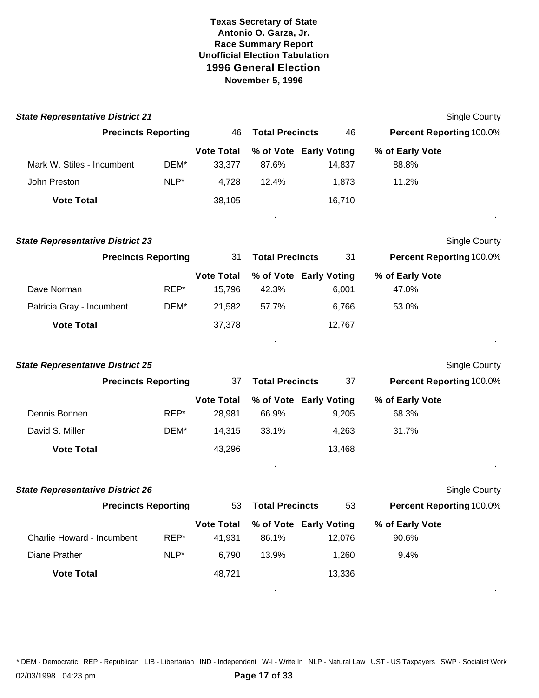| <b>State Representative District 21</b> |      |                             |                        |                                  |                                 | Single County        |
|-----------------------------------------|------|-----------------------------|------------------------|----------------------------------|---------------------------------|----------------------|
| <b>Precincts Reporting</b>              |      | 46                          | <b>Total Precincts</b> | 46                               | Percent Reporting 100.0%        |                      |
| Mark W. Stiles - Incumbent              | DEM* | <b>Vote Total</b><br>33,377 | 87.6%                  | % of Vote Early Voting<br>14,837 | % of Early Vote<br>88.8%        |                      |
| John Preston                            | NLP* | 4,728                       | 12.4%                  | 1,873                            | 11.2%                           |                      |
| <b>Vote Total</b>                       |      | 38,105                      |                        | 16,710                           |                                 |                      |
| <b>State Representative District 23</b> |      |                             |                        |                                  |                                 | <b>Single County</b> |
| <b>Precincts Reporting</b>              |      | 31                          | <b>Total Precincts</b> | 31                               | Percent Reporting 100.0%        |                      |
| Dave Norman                             | REP* | <b>Vote Total</b><br>15,796 | 42.3%                  | % of Vote Early Voting<br>6,001  | % of Early Vote<br>47.0%        |                      |
| Patricia Gray - Incumbent               | DEM* | 21,582                      | 57.7%                  | 6,766                            | 53.0%                           |                      |
| <b>Vote Total</b>                       |      | 37,378                      |                        | 12,767                           |                                 |                      |
| <b>State Representative District 25</b> |      |                             |                        |                                  |                                 | <b>Single County</b> |
| <b>Precincts Reporting</b>              |      | 37                          | <b>Total Precincts</b> | 37                               | Percent Reporting 100.0%        |                      |
| Dennis Bonnen                           | REP* | <b>Vote Total</b><br>28,981 | 66.9%                  | % of Vote Early Voting<br>9,205  | % of Early Vote<br>68.3%        |                      |
| David S. Miller                         | DEM* | 14,315                      | 33.1%                  | 4,263                            | 31.7%                           |                      |
| <b>Vote Total</b>                       |      | 43,296                      |                        | 13,468                           |                                 |                      |
| <b>State Representative District 26</b> |      |                             |                        |                                  |                                 | <b>Single County</b> |
| <b>Precincts Reporting</b>              |      | 53                          | <b>Total Precincts</b> | 53                               | <b>Percent Reporting 100.0%</b> |                      |
| Charlie Howard - Incumbent              | REP* | <b>Vote Total</b><br>41,931 | 86.1%                  | % of Vote Early Voting<br>12,076 | % of Early Vote<br>90.6%        |                      |
| Diane Prather                           | NLP* | 6,790                       | 13.9%                  | 1,260                            | 9.4%                            |                      |
| <b>Vote Total</b>                       |      | 48,721                      |                        | 13,336                           |                                 |                      |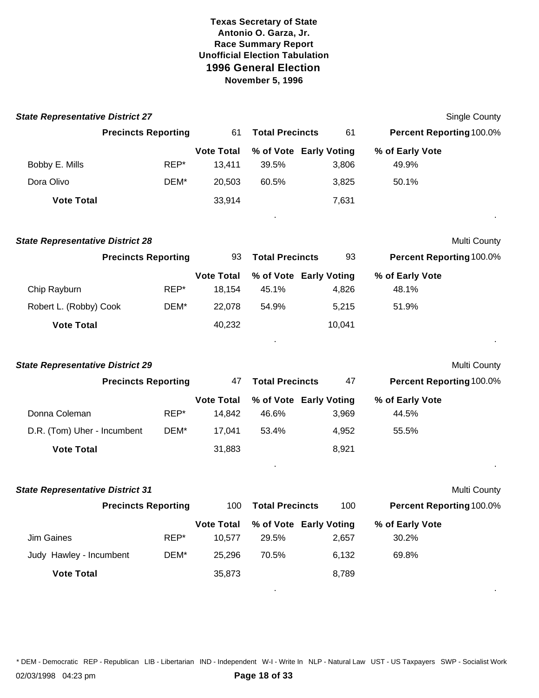| <b>State Representative District 27</b> |                            |                             |                        |                                 |                                 | <b>Single County</b> |
|-----------------------------------------|----------------------------|-----------------------------|------------------------|---------------------------------|---------------------------------|----------------------|
|                                         | <b>Precincts Reporting</b> | 61                          | <b>Total Precincts</b> | 61                              | <b>Percent Reporting 100.0%</b> |                      |
| Bobby E. Mills                          | REP*                       | <b>Vote Total</b><br>13,411 | 39.5%                  | % of Vote Early Voting<br>3,806 | % of Early Vote<br>49.9%        |                      |
| Dora Olivo                              | DEM*                       | 20,503                      | 60.5%                  | 3,825                           | 50.1%                           |                      |
| <b>Vote Total</b>                       |                            | 33,914                      |                        | 7,631                           |                                 |                      |
| <b>State Representative District 28</b> |                            |                             |                        |                                 |                                 | Multi County         |
|                                         | <b>Precincts Reporting</b> | 93                          | <b>Total Precincts</b> | 93                              | Percent Reporting 100.0%        |                      |
| Chip Rayburn                            | REP*                       | <b>Vote Total</b><br>18,154 | 45.1%                  | % of Vote Early Voting<br>4,826 | % of Early Vote<br>48.1%        |                      |
| Robert L. (Robby) Cook                  | DEM*                       | 22,078                      | 54.9%                  | 5,215                           | 51.9%                           |                      |
| <b>Vote Total</b>                       |                            | 40,232                      |                        | 10,041                          |                                 |                      |
|                                         |                            |                             |                        |                                 |                                 |                      |
| <b>State Representative District 29</b> |                            |                             |                        |                                 |                                 | Multi County         |
|                                         | <b>Precincts Reporting</b> | 47                          | <b>Total Precincts</b> | 47                              | <b>Percent Reporting 100.0%</b> |                      |
| Donna Coleman                           | REP*                       | <b>Vote Total</b><br>14,842 | 46.6%                  | % of Vote Early Voting<br>3,969 | % of Early Vote<br>44.5%        |                      |
| D.R. (Tom) Uher - Incumbent             | DEM*                       | 17,041                      | 53.4%                  | 4,952                           | 55.5%                           |                      |
| <b>Vote Total</b>                       |                            | 31,883                      |                        | 8,921                           |                                 |                      |
| <b>State Representative District 31</b> |                            |                             |                        |                                 |                                 | Multi County         |
|                                         | <b>Precincts Reporting</b> | 100                         | <b>Total Precincts</b> | 100                             | <b>Percent Reporting 100.0%</b> |                      |
| Jim Gaines                              | REP*                       | <b>Vote Total</b><br>10,577 | 29.5%                  | % of Vote Early Voting<br>2,657 | % of Early Vote<br>30.2%        |                      |
| Judy Hawley - Incumbent                 | DEM*                       | 25,296                      | 70.5%                  | 6,132                           | 69.8%                           |                      |
| <b>Vote Total</b>                       |                            | 35,873                      |                        | 8,789                           |                                 |                      |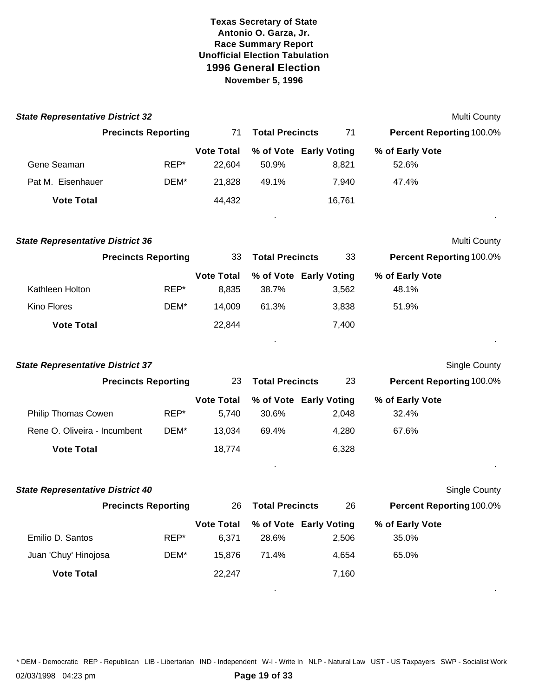| <b>State Representative District 32</b> |                            |                             |                                 |        | Multi County                    |  |
|-----------------------------------------|----------------------------|-----------------------------|---------------------------------|--------|---------------------------------|--|
|                                         | <b>Precincts Reporting</b> | 71                          | <b>Total Precincts</b>          | 71     | <b>Percent Reporting 100.0%</b> |  |
| Gene Seaman                             | REP*                       | <b>Vote Total</b><br>22,604 | % of Vote Early Voting<br>50.9% | 8,821  | % of Early Vote<br>52.6%        |  |
| Pat M. Eisenhauer                       | DEM*                       | 21,828                      | 49.1%                           | 7,940  | 47.4%                           |  |
| <b>Vote Total</b>                       |                            | 44,432                      |                                 | 16,761 |                                 |  |
| <b>State Representative District 36</b> |                            |                             |                                 |        | Multi County                    |  |
|                                         | <b>Precincts Reporting</b> | 33                          | <b>Total Precincts</b>          | 33     | <b>Percent Reporting 100.0%</b> |  |
| Kathleen Holton                         | REP*                       | <b>Vote Total</b><br>8,835  | % of Vote Early Voting<br>38.7% | 3,562  | % of Early Vote<br>48.1%        |  |
| Kino Flores                             | DEM*                       | 14,009                      | 61.3%                           | 3,838  | 51.9%                           |  |
| <b>Vote Total</b>                       |                            | 22,844                      |                                 | 7,400  |                                 |  |
| <b>State Representative District 37</b> |                            |                             |                                 |        | <b>Single County</b>            |  |
|                                         | <b>Precincts Reporting</b> | 23                          | <b>Total Precincts</b>          | 23     | Percent Reporting 100.0%        |  |
|                                         |                            | <b>Vote Total</b>           | % of Vote Early Voting          |        | % of Early Vote                 |  |
| Philip Thomas Cowen                     | REP*                       | 5,740                       | 30.6%                           | 2,048  | 32.4%                           |  |
| Rene O. Oliveira - Incumbent            | DEM*                       | 13,034                      | 69.4%                           | 4,280  | 67.6%                           |  |
| <b>Vote Total</b>                       |                            | 18,774                      |                                 | 6,328  |                                 |  |
| <b>State Representative District 40</b> |                            |                             |                                 |        | Single County                   |  |
|                                         | <b>Precincts Reporting</b> | 26                          | <b>Total Precincts</b>          | 26     | Percent Reporting 100.0%        |  |
|                                         |                            | <b>Vote Total</b>           | % of Vote Early Voting          |        | % of Early Vote                 |  |
| Emilio D. Santos                        | REP*                       | 6,371                       | 28.6%                           | 2,506  | 35.0%                           |  |
| Juan 'Chuy' Hinojosa                    | DEM*                       | 15,876                      | 71.4%                           | 4,654  | 65.0%                           |  |
| <b>Vote Total</b>                       |                            | 22,247                      |                                 | 7,160  |                                 |  |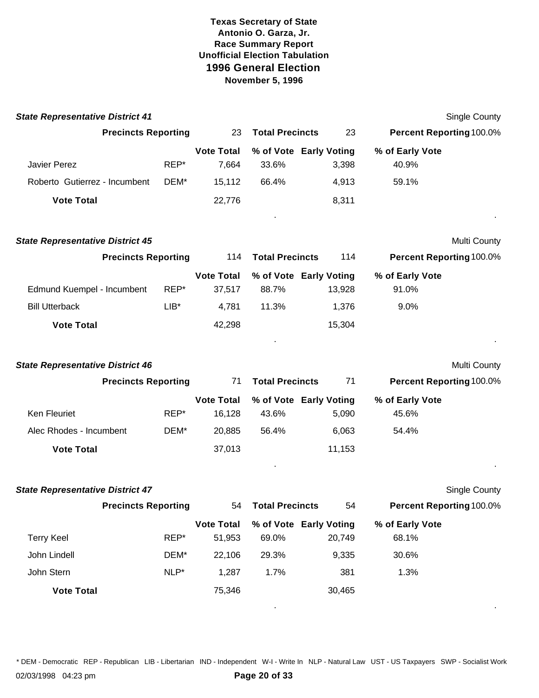| <b>State Representative District 41</b> |         |                             |                        |                                  |                                 | <b>Single County</b> |
|-----------------------------------------|---------|-----------------------------|------------------------|----------------------------------|---------------------------------|----------------------|
| <b>Precincts Reporting</b>              |         | 23                          | <b>Total Precincts</b> | 23                               | Percent Reporting 100.0%        |                      |
|                                         |         | <b>Vote Total</b>           |                        | % of Vote Early Voting           | % of Early Vote                 |                      |
| <b>Javier Perez</b>                     | REP*    | 7,664                       | 33.6%                  | 3,398                            | 40.9%                           |                      |
| Roberto Gutierrez - Incumbent           | DEM*    | 15,112                      | 66.4%                  | 4,913                            | 59.1%                           |                      |
| <b>Vote Total</b>                       |         | 22,776                      |                        | 8,311                            |                                 |                      |
| <b>State Representative District 45</b> |         |                             |                        |                                  |                                 | Multi County         |
| <b>Precincts Reporting</b>              |         | 114                         | <b>Total Precincts</b> | 114                              | <b>Percent Reporting 100.0%</b> |                      |
| Edmund Kuempel - Incumbent              | REP*    | <b>Vote Total</b><br>37,517 | 88.7%                  | % of Vote Early Voting<br>13,928 | % of Early Vote<br>91.0%        |                      |
| <b>Bill Utterback</b>                   | $LIB*$  | 4,781                       | 11.3%                  | 1,376                            | 9.0%                            |                      |
| <b>Vote Total</b>                       |         | 42,298                      |                        | 15,304                           |                                 |                      |
| <b>State Representative District 46</b> |         |                             |                        |                                  |                                 | Multi County         |
| <b>Precincts Reporting</b>              |         | 71                          | <b>Total Precincts</b> | 71                               | Percent Reporting 100.0%        |                      |
|                                         |         | <b>Vote Total</b>           |                        | % of Vote Early Voting           | % of Early Vote                 |                      |
| Ken Fleuriet                            | REP*    | 16,128                      | 43.6%                  | 5,090                            | 45.6%                           |                      |
| Alec Rhodes - Incumbent                 | DEM*    | 20,885                      | 56.4%                  | 6,063                            | 54.4%                           |                      |
| <b>Vote Total</b>                       |         | 37,013                      |                        | 11,153                           |                                 |                      |
|                                         |         |                             |                        |                                  |                                 |                      |
| <b>State Representative District 47</b> |         |                             |                        |                                  |                                 | <b>Single County</b> |
| <b>Precincts Reporting</b>              |         | 54                          | <b>Total Precincts</b> | 54                               | Percent Reporting 100.0%        |                      |
| <b>Terry Keel</b>                       | REP*    | <b>Vote Total</b><br>51,953 | 69.0%                  | % of Vote Early Voting<br>20,749 | % of Early Vote<br>68.1%        |                      |
| John Lindell                            | DEM*    | 22,106                      | 29.3%                  | 9,335                            | 30.6%                           |                      |
| John Stern                              | $NLP^*$ | 1,287                       | 1.7%                   | 381                              | 1.3%                            |                      |
| <b>Vote Total</b>                       |         | 75,346                      |                        | 30,465                           |                                 |                      |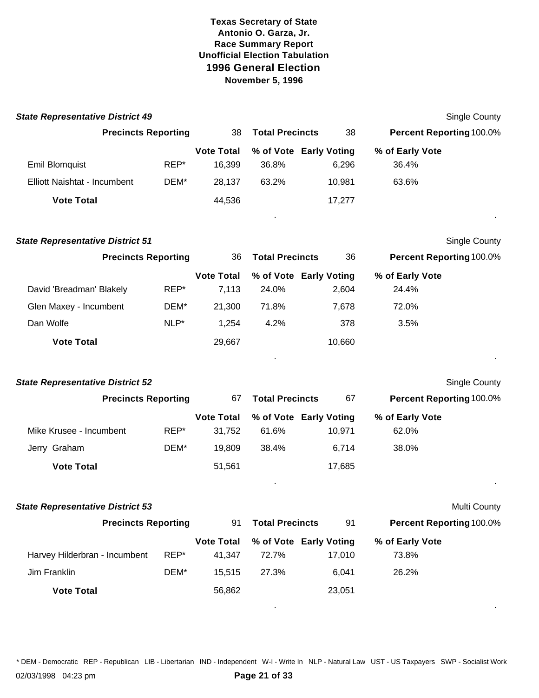| <b>State Representative District 49</b>           |      |                             |                        |                                  | <b>Single County</b>            |  |
|---------------------------------------------------|------|-----------------------------|------------------------|----------------------------------|---------------------------------|--|
| <b>Precincts Reporting</b>                        |      | 38                          | <b>Total Precincts</b> | 38                               | <b>Percent Reporting 100.0%</b> |  |
| <b>Emil Blomquist</b>                             | REP* | <b>Vote Total</b><br>16,399 | 36.8%                  | % of Vote Early Voting<br>6,296  | % of Early Vote<br>36.4%        |  |
| Elliott Naishtat - Incumbent<br><b>Vote Total</b> | DEM* | 28,137<br>44,536            | 63.2%                  | 10,981<br>17,277                 | 63.6%                           |  |
|                                                   |      |                             |                        |                                  |                                 |  |
| <b>State Representative District 51</b>           |      |                             |                        |                                  | Single County                   |  |
| <b>Precincts Reporting</b>                        |      | 36                          | <b>Total Precincts</b> | 36                               | Percent Reporting 100.0%        |  |
| David 'Breadman' Blakely                          | REP* | <b>Vote Total</b><br>7,113  | 24.0%                  | % of Vote Early Voting<br>2,604  | % of Early Vote<br>24.4%        |  |
| Glen Maxey - Incumbent                            | DEM* | 21,300                      | 71.8%                  | 7,678                            | 72.0%                           |  |
| Dan Wolfe                                         | NLP* | 1,254                       | 4.2%                   | 378                              | 3.5%                            |  |
| <b>Vote Total</b>                                 |      | 29,667                      |                        | 10,660                           |                                 |  |
| <b>State Representative District 52</b>           |      |                             |                        |                                  | <b>Single County</b>            |  |
| <b>Precincts Reporting</b>                        |      | 67                          | <b>Total Precincts</b> | 67                               | Percent Reporting 100.0%        |  |
| Mike Krusee - Incumbent                           | REP* | <b>Vote Total</b><br>31,752 | 61.6%                  | % of Vote Early Voting<br>10,971 | % of Early Vote<br>62.0%        |  |
| Jerry Graham                                      | DEM* | 19,809                      | 38.4%                  | 6,714                            | 38.0%                           |  |
| <b>Vote Total</b>                                 |      | 51,561                      |                        | 17,685                           |                                 |  |
| <b>State Representative District 53</b>           |      |                             |                        |                                  | Multi County                    |  |
| <b>Precincts Reporting</b>                        |      | 91                          | <b>Total Precincts</b> | 91                               | Percent Reporting 100.0%        |  |
| Harvey Hilderbran - Incumbent                     | REP* | <b>Vote Total</b><br>41,347 | 72.7%                  | % of Vote Early Voting<br>17,010 | % of Early Vote<br>73.8%        |  |
| Jim Franklin                                      | DEM* | 15,515                      | 27.3%                  | 6,041                            | 26.2%                           |  |
| <b>Vote Total</b>                                 |      | 56,862                      |                        | 23,051                           |                                 |  |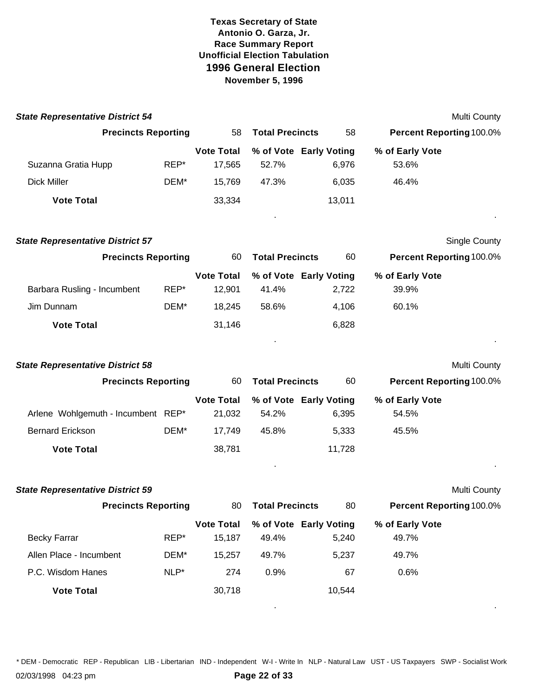| <b>State Representative District 54</b> |         |                             |                        |                                 |                                 | Multi County         |
|-----------------------------------------|---------|-----------------------------|------------------------|---------------------------------|---------------------------------|----------------------|
| <b>Precincts Reporting</b>              |         | 58                          | <b>Total Precincts</b> | 58                              | <b>Percent Reporting 100.0%</b> |                      |
|                                         |         | <b>Vote Total</b>           |                        | % of Vote Early Voting          | % of Early Vote                 |                      |
| Suzanna Gratia Hupp                     | REP*    | 17,565                      | 52.7%                  | 6,976                           | 53.6%                           |                      |
| <b>Dick Miller</b>                      | DEM*    | 15,769                      | 47.3%                  | 6,035                           | 46.4%                           |                      |
| <b>Vote Total</b>                       |         | 33,334                      |                        | 13,011                          |                                 |                      |
| <b>State Representative District 57</b> |         |                             |                        |                                 |                                 | <b>Single County</b> |
| <b>Precincts Reporting</b>              |         | 60                          | <b>Total Precincts</b> | 60                              | <b>Percent Reporting 100.0%</b> |                      |
| Barbara Rusling - Incumbent             | REP*    | <b>Vote Total</b><br>12,901 | 41.4%                  | % of Vote Early Voting<br>2,722 | % of Early Vote<br>39.9%        |                      |
| Jim Dunnam                              | DEM*    | 18,245                      | 58.6%                  | 4,106                           | 60.1%                           |                      |
| <b>Vote Total</b>                       |         | 31,146                      |                        | 6,828                           |                                 |                      |
| <b>State Representative District 58</b> |         |                             |                        |                                 |                                 | <b>Multi County</b>  |
| <b>Precincts Reporting</b>              |         | 60                          | <b>Total Precincts</b> | 60                              | <b>Percent Reporting 100.0%</b> |                      |
| Arlene Wohlgemuth - Incumbent REP*      |         | <b>Vote Total</b><br>21,032 | 54.2%                  | % of Vote Early Voting<br>6,395 | % of Early Vote<br>54.5%        |                      |
| <b>Bernard Erickson</b>                 | DEM*    | 17,749                      | 45.8%                  | 5,333                           | 45.5%                           |                      |
| <b>Vote Total</b>                       |         | 38,781                      |                        | 11,728                          |                                 |                      |
| <b>State Representative District 59</b> |         |                             |                        |                                 |                                 | <b>Multi County</b>  |
| <b>Precincts Reporting</b>              |         | 80                          | <b>Total Precincts</b> | 80                              | Percent Reporting 100.0%        |                      |
| <b>Becky Farrar</b>                     | REP*    | <b>Vote Total</b><br>15,187 | 49.4%                  | % of Vote Early Voting<br>5,240 | % of Early Vote<br>49.7%        |                      |
| Allen Place - Incumbent                 | DEM*    | 15,257                      | 49.7%                  | 5,237                           | 49.7%                           |                      |
| P.C. Wisdom Hanes                       | $NLP^*$ | 274                         | 0.9%                   | 67                              | 0.6%                            |                      |
| <b>Vote Total</b>                       |         | 30,718                      |                        | 10,544                          |                                 |                      |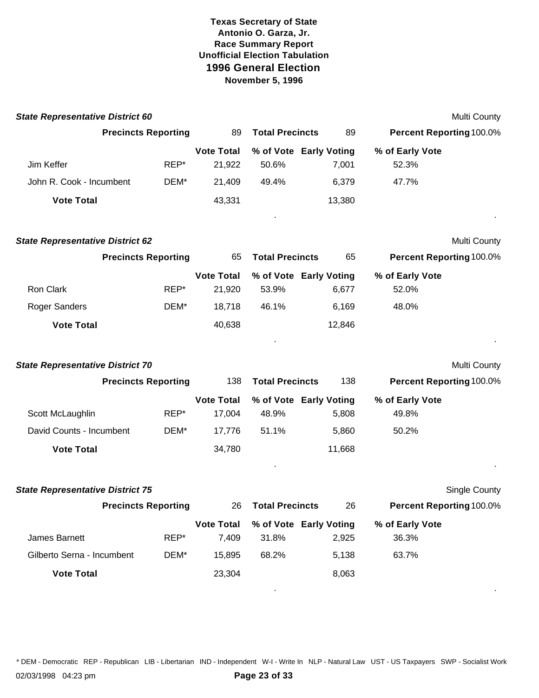| <b>State Representative District 60</b> |                            |                             |                                 |        |                                 | Multi County  |
|-----------------------------------------|----------------------------|-----------------------------|---------------------------------|--------|---------------------------------|---------------|
|                                         | <b>Precincts Reporting</b> | 89                          | <b>Total Precincts</b>          | 89     | Percent Reporting 100.0%        |               |
|                                         |                            | <b>Vote Total</b>           | % of Vote Early Voting          |        | % of Early Vote                 |               |
| Jim Keffer                              | REP*                       | 21,922                      | 50.6%                           | 7,001  | 52.3%                           |               |
| John R. Cook - Incumbent                | DEM*                       | 21,409                      | 49.4%                           | 6,379  | 47.7%                           |               |
| <b>Vote Total</b>                       |                            | 43,331                      |                                 | 13,380 |                                 |               |
| <b>State Representative District 62</b> |                            |                             |                                 |        |                                 | Multi County  |
|                                         | <b>Precincts Reporting</b> | 65                          | <b>Total Precincts</b>          | 65     | Percent Reporting 100.0%        |               |
| Ron Clark                               | REP*                       | <b>Vote Total</b><br>21,920 | % of Vote Early Voting<br>53.9% | 6,677  | % of Early Vote<br>52.0%        |               |
| Roger Sanders                           | DEM*                       | 18,718                      | 46.1%                           | 6,169  | 48.0%                           |               |
| <b>Vote Total</b>                       |                            | 40,638                      |                                 | 12,846 |                                 |               |
|                                         |                            |                             |                                 |        |                                 |               |
| <b>State Representative District 70</b> |                            |                             |                                 |        |                                 | Multi County  |
|                                         | <b>Precincts Reporting</b> | 138                         | <b>Total Precincts</b>          | 138    | Percent Reporting 100.0%        |               |
|                                         |                            | <b>Vote Total</b>           | % of Vote Early Voting          |        | % of Early Vote                 |               |
| Scott McLaughlin                        | REP*                       | 17,004                      | 48.9%                           | 5,808  | 49.8%                           |               |
| David Counts - Incumbent                | DEM*                       | 17,776                      | 51.1%                           | 5,860  | 50.2%                           |               |
| <b>Vote Total</b>                       |                            | 34,780                      |                                 | 11,668 |                                 |               |
| <b>State Representative District 75</b> |                            |                             |                                 |        |                                 | Single County |
|                                         | <b>Precincts Reporting</b> |                             | 26 Total Precincts              | - 26   | <b>Percent Reporting 100.0%</b> |               |
|                                         |                            | <b>Vote Total</b>           | % of Vote Early Voting          |        | % of Early Vote                 |               |
| James Barnett                           | REP*                       | 7,409                       | 31.8%                           | 2,925  | 36.3%                           |               |
| Gilberto Serna - Incumbent              | DEM*                       | 15,895                      | 68.2%                           | 5,138  | 63.7%                           |               |
| <b>Vote Total</b>                       |                            | 23,304                      |                                 | 8,063  |                                 |               |
|                                         |                            |                             |                                 |        |                                 |               |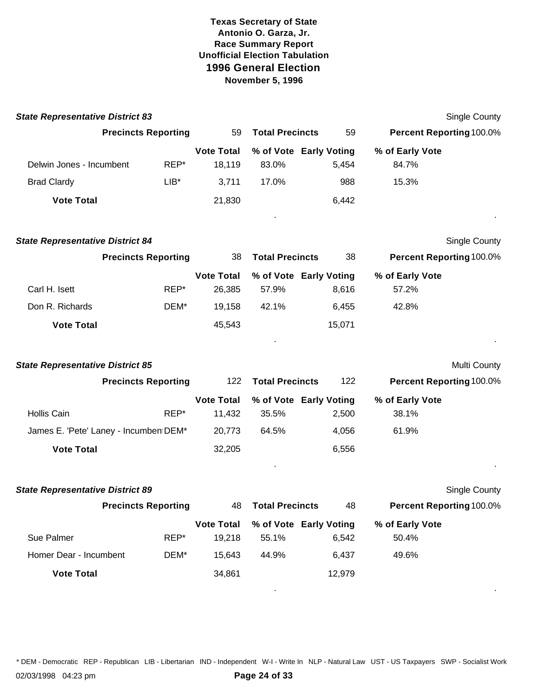| <b>State Representative District 83</b> |                            |      |                             |                                 |        |                                 | Single County        |
|-----------------------------------------|----------------------------|------|-----------------------------|---------------------------------|--------|---------------------------------|----------------------|
|                                         | <b>Precincts Reporting</b> |      | 59                          | <b>Total Precincts</b>          | 59     | <b>Percent Reporting 100.0%</b> |                      |
|                                         |                            |      | <b>Vote Total</b>           | % of Vote Early Voting          |        | % of Early Vote                 |                      |
| Delwin Jones - Incumbent                |                            | REP* | 18,119                      | 83.0%                           | 5,454  | 84.7%                           |                      |
| <b>Brad Clardy</b>                      |                            | LIB* | 3,711                       | 17.0%                           | 988    | 15.3%                           |                      |
| <b>Vote Total</b>                       |                            |      | 21,830                      |                                 | 6,442  |                                 |                      |
| <b>State Representative District 84</b> |                            |      |                             |                                 |        |                                 | Single County        |
|                                         | <b>Precincts Reporting</b> |      | 38                          | <b>Total Precincts</b>          | 38     | <b>Percent Reporting 100.0%</b> |                      |
| Carl H. Isett                           |                            | REP* | <b>Vote Total</b><br>26,385 | % of Vote Early Voting<br>57.9% | 8,616  | % of Early Vote<br>57.2%        |                      |
| Don R. Richards                         |                            | DEM* | 19,158                      | 42.1%                           | 6,455  | 42.8%                           |                      |
| <b>Vote Total</b>                       |                            |      | 45,543                      |                                 | 15,071 |                                 |                      |
| <b>State Representative District 85</b> |                            |      |                             |                                 |        |                                 | Multi County         |
|                                         | <b>Precincts Reporting</b> |      | 122                         | <b>Total Precincts</b>          | 122    | <b>Percent Reporting 100.0%</b> |                      |
|                                         |                            |      | <b>Vote Total</b>           | % of Vote Early Voting          |        | % of Early Vote                 |                      |
| <b>Hollis Cain</b>                      |                            | REP* | 11,432                      | 35.5%                           | 2,500  | 38.1%                           |                      |
| James E. 'Pete' Laney - Incumben DEM*   |                            |      | 20,773                      | 64.5%                           | 4,056  | 61.9%                           |                      |
| <b>Vote Total</b>                       |                            |      | 32,205                      |                                 | 6,556  |                                 |                      |
| <b>State Representative District 89</b> |                            |      |                             |                                 |        |                                 | <b>Single County</b> |
|                                         | <b>Precincts Reporting</b> |      | 48                          | <b>Total Precincts</b>          | 48     | <b>Percent Reporting 100.0%</b> |                      |
| Sue Palmer                              |                            | REP* | <b>Vote Total</b><br>19,218 | % of Vote Early Voting<br>55.1% | 6,542  | % of Early Vote<br>50.4%        |                      |
| Homer Dear - Incumbent                  |                            | DEM* | 15,643                      | 44.9%                           | 6,437  | 49.6%                           |                      |
| <b>Vote Total</b>                       |                            |      | 34,861                      |                                 | 12,979 |                                 |                      |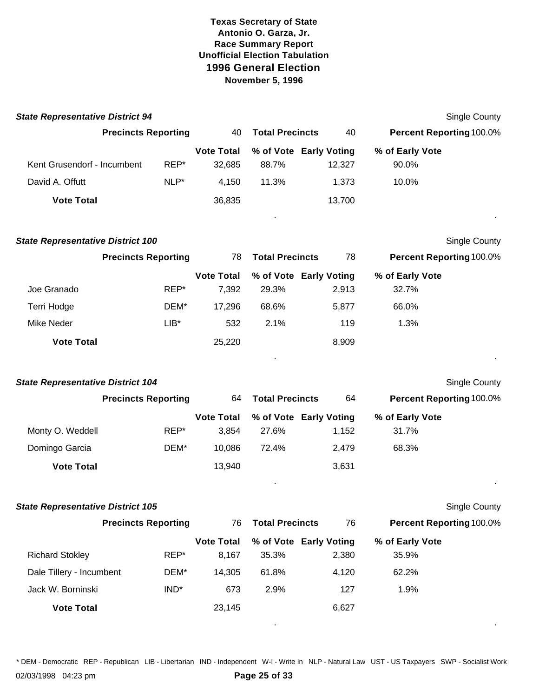| <b>State Representative District 94</b>  |                            |                            |                        |                                 |                                 | <b>Single County</b> |
|------------------------------------------|----------------------------|----------------------------|------------------------|---------------------------------|---------------------------------|----------------------|
|                                          | <b>Precincts Reporting</b> | 40                         | <b>Total Precincts</b> | 40                              | Percent Reporting 100.0%        |                      |
|                                          |                            | <b>Vote Total</b>          |                        | % of Vote Early Voting          | % of Early Vote                 |                      |
| Kent Grusendorf - Incumbent              | REP*                       | 32,685                     | 88.7%                  | 12,327                          | 90.0%                           |                      |
| David A. Offutt                          | NLP*                       | 4,150                      | 11.3%                  | 1,373                           | 10.0%                           |                      |
| <b>Vote Total</b>                        |                            | 36,835                     |                        | 13,700                          |                                 |                      |
| <b>State Representative District 100</b> |                            |                            |                        |                                 |                                 | Single County        |
|                                          | <b>Precincts Reporting</b> | 78                         | <b>Total Precincts</b> | 78                              | <b>Percent Reporting 100.0%</b> |                      |
| Joe Granado                              | REP*                       | <b>Vote Total</b><br>7,392 | 29.3%                  | % of Vote Early Voting<br>2,913 | % of Early Vote<br>32.7%        |                      |
| Terri Hodge                              | DEM*                       | 17,296                     | 68.6%                  | 5,877                           | 66.0%                           |                      |
| Mike Neder                               | $LIB*$                     | 532                        | 2.1%                   | 119                             | 1.3%                            |                      |
| <b>Vote Total</b>                        |                            | 25,220                     |                        | 8,909                           |                                 |                      |
|                                          |                            |                            |                        |                                 |                                 |                      |
| <b>State Representative District 104</b> |                            |                            |                        |                                 |                                 | <b>Single County</b> |
|                                          | <b>Precincts Reporting</b> | 64                         | <b>Total Precincts</b> | 64                              | <b>Percent Reporting 100.0%</b> |                      |
| Monty O. Weddell                         | REP*                       | <b>Vote Total</b><br>3,854 | 27.6%                  | % of Vote Early Voting<br>1,152 | % of Early Vote<br>31.7%        |                      |
| Domingo Garcia                           | DEM*                       | 10,086                     | 72.4%                  | 2,479                           | 68.3%                           |                      |
| <b>Vote Total</b>                        |                            | 13,940                     |                        | 3,631                           |                                 |                      |
| <b>State Representative District 105</b> |                            |                            |                        |                                 |                                 | <b>Single County</b> |
|                                          | <b>Precincts Reporting</b> | 76                         | <b>Total Precincts</b> | 76                              | Percent Reporting 100.0%        |                      |
|                                          |                            | <b>Vote Total</b>          |                        | % of Vote Early Voting          | % of Early Vote                 |                      |
| <b>Richard Stokley</b>                   | REP*                       | 8,167                      | 35.3%                  | 2,380                           | 35.9%                           |                      |
| Dale Tillery - Incumbent                 | DEM*                       | 14,305                     | 61.8%                  | 4,120                           | 62.2%                           |                      |
| Jack W. Borninski                        | $IND^*$                    | 673                        | 2.9%                   | 127                             | 1.9%                            |                      |
| <b>Vote Total</b>                        |                            | 23,145                     |                        | 6,627                           |                                 |                      |

\* DEM - Democratic REP - Republican LIB - Libertarian IND - Independent W-I - Write In NLP - Natural Law UST - US Taxpayers SWP - Socialist Work

. .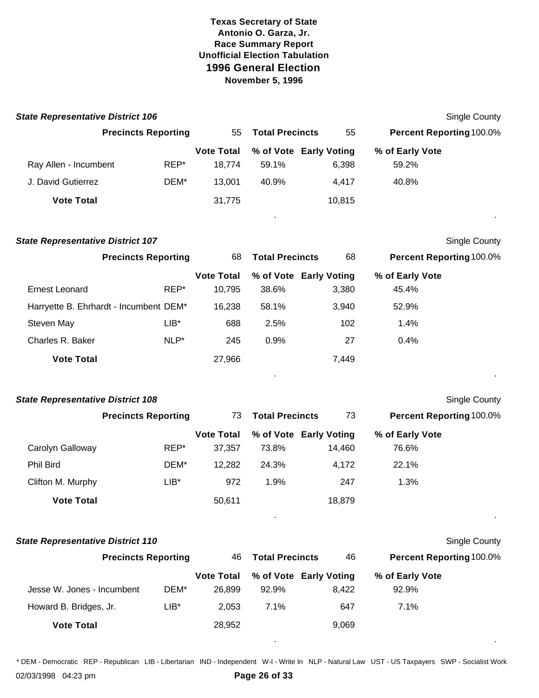| <b>State Representative District 106</b> |                            |         |                             |                                 |        |                                 | Single County        |
|------------------------------------------|----------------------------|---------|-----------------------------|---------------------------------|--------|---------------------------------|----------------------|
|                                          | <b>Precincts Reporting</b> |         | 55                          | <b>Total Precincts</b>          | 55     | Percent Reporting 100.0%        |                      |
|                                          |                            |         | <b>Vote Total</b>           | % of Vote Early Voting          |        | % of Early Vote                 |                      |
| Ray Allen - Incumbent                    |                            | REP*    | 18,774                      | 59.1%                           | 6,398  | 59.2%                           |                      |
| J. David Gutierrez                       |                            | DEM*    | 13,001                      | 40.9%                           | 4,417  | 40.8%                           |                      |
| <b>Vote Total</b>                        |                            |         | 31,775                      |                                 | 10,815 |                                 |                      |
| <b>State Representative District 107</b> |                            |         |                             |                                 |        |                                 | Single County        |
|                                          | <b>Precincts Reporting</b> |         | 68                          | <b>Total Precincts</b>          | 68     | <b>Percent Reporting 100.0%</b> |                      |
| <b>Ernest Leonard</b>                    |                            | REP*    | <b>Vote Total</b><br>10,795 | % of Vote Early Voting<br>38.6% | 3,380  | % of Early Vote<br>45.4%        |                      |
|                                          |                            |         |                             |                                 |        |                                 |                      |
| Harryette B. Ehrhardt - Incumbent DEM*   |                            |         | 16,238                      | 58.1%                           | 3,940  | 52.9%                           |                      |
| Steven May                               |                            | $LIB^*$ | 688                         | 2.5%                            | 102    | 1.4%                            |                      |
| Charles R. Baker                         |                            | $NLP^*$ | 245                         | 0.9%                            | 27     | 0.4%                            |                      |
| <b>Vote Total</b>                        |                            |         | 27,966                      |                                 | 7,449  |                                 |                      |
| <b>State Representative District 108</b> |                            |         |                             |                                 |        |                                 | <b>Single County</b> |
|                                          | <b>Precincts Reporting</b> |         | 73                          | <b>Total Precincts</b>          | 73     | <b>Percent Reporting 100.0%</b> |                      |
|                                          |                            |         | <b>Vote Total</b>           | % of Vote Early Voting          |        | % of Early Vote                 |                      |
| Carolyn Galloway                         |                            | REP*    | 37,357                      | 73.8%                           | 14,460 | 76.6%                           |                      |
| <b>Phil Bird</b>                         |                            | DEM*    | 12,282                      | 24.3%                           | 4,172  | 22.1%                           |                      |
| Clifton M. Murphy                        |                            | $LIB^*$ | 972                         | 1.9%                            | 247    | 1.3%                            |                      |
| <b>Vote Total</b>                        |                            |         | 50,611                      |                                 | 18,879 |                                 |                      |

|  |  | <b>State Representative District 110</b> |  |  |
|--|--|------------------------------------------|--|--|
|--|--|------------------------------------------|--|--|

|                            | <b>Precincts Reporting</b> | 46.               | <b>Total Precincts</b> | 46                     | <b>Percent Reporting 100.0%</b> |  |
|----------------------------|----------------------------|-------------------|------------------------|------------------------|---------------------------------|--|
|                            |                            | <b>Vote Total</b> |                        | % of Vote Early Voting | % of Early Vote                 |  |
| Jesse W. Jones - Incumbent | DEM*                       | 26,899            | 92.9%                  | 8.422                  | 92.9%                           |  |
| Howard B. Bridges, Jr.     | $LIB*$                     | 2.053             | $7.1\%$                | 647                    | 7.1%                            |  |
| <b>Vote Total</b>          |                            | 28,952            |                        | 9,069                  |                                 |  |

\* DEM - Democratic REP - Republican LIB - Libertarian IND - Independent W-I - Write In NLP - Natural Law UST - US Taxpayers SWP - Socialist Work

. .

**Single County** 

02/03/1998 04:23 pm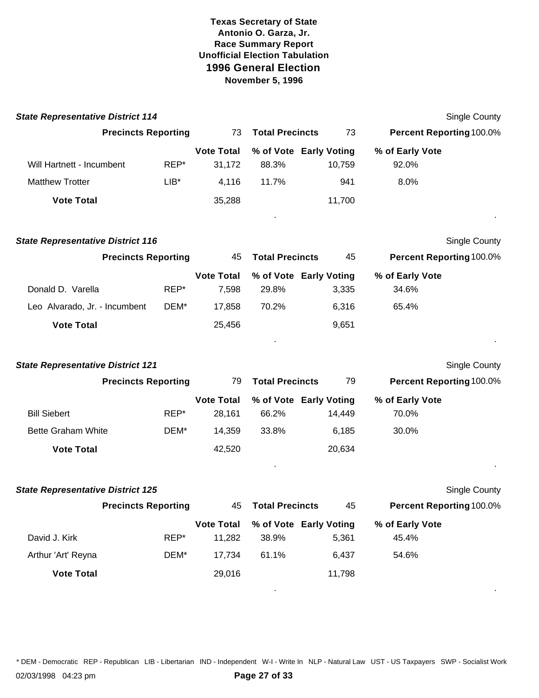| <b>State Representative District 114</b>       |        |                             |                           |                                  |                                 | Single County        |
|------------------------------------------------|--------|-----------------------------|---------------------------|----------------------------------|---------------------------------|----------------------|
| <b>Precincts Reporting</b>                     |        | 73                          | <b>Total Precincts</b>    | 73                               | <b>Percent Reporting 100.0%</b> |                      |
| Will Hartnett - Incumbent                      | REP*   | <b>Vote Total</b><br>31,172 | 88.3%                     | % of Vote Early Voting<br>10,759 | % of Early Vote<br>92.0%        |                      |
| <b>Matthew Trotter</b>                         | $LIB*$ | 4,116                       | 11.7%                     | 941                              | 8.0%                            |                      |
| <b>Vote Total</b>                              |        | 35,288                      |                           | 11,700                           |                                 |                      |
| <b>State Representative District 116</b>       |        |                             |                           |                                  |                                 | <b>Single County</b> |
| <b>Precincts Reporting</b>                     |        | 45                          | <b>Total Precincts</b>    | 45                               | Percent Reporting 100.0%        |                      |
| Donald D. Varella                              | REP*   | <b>Vote Total</b><br>7,598  | 29.8%                     | % of Vote Early Voting<br>3,335  | % of Early Vote<br>34.6%        |                      |
| Leo Alvarado, Jr. - Incumbent                  | DEM*   | 17,858                      | 70.2%                     | 6,316                            | 65.4%                           |                      |
| <b>Vote Total</b>                              |        | 25,456                      |                           | 9,651                            |                                 |                      |
| <b>State Representative District 121</b>       |        |                             |                           |                                  |                                 | <b>Single County</b> |
| <b>Precincts Reporting</b>                     |        | 79                          | <b>Total Precincts</b>    | 79                               | <b>Percent Reporting 100.0%</b> |                      |
| <b>Bill Siebert</b>                            | REP*   | <b>Vote Total</b><br>28,161 | 66.2%                     | % of Vote Early Voting<br>14,449 | % of Early Vote<br>70.0%        |                      |
| <b>Bette Graham White</b><br><b>Vote Total</b> | DEM*   | 14,359<br>42,520            | 33.8%                     | 6,185<br>20,634                  | 30.0%                           |                      |
| <b>State Representative District 125</b>       |        |                             |                           |                                  |                                 | <b>Single County</b> |
| <b>Precincts Reporting</b>                     |        |                             | <b>45 Total Precincts</b> | 45                               | <b>Percent Reporting 100.0%</b> |                      |
| David J. Kirk                                  | REP*   | <b>Vote Total</b><br>11,282 | 38.9%                     | % of Vote Early Voting<br>5,361  | % of Early Vote<br>45.4%        |                      |
| Arthur 'Art' Reyna                             | DEM*   | 17,734                      | 61.1%                     | 6,437                            | 54.6%                           |                      |
| <b>Vote Total</b>                              |        | 29,016                      |                           | 11,798                           |                                 |                      |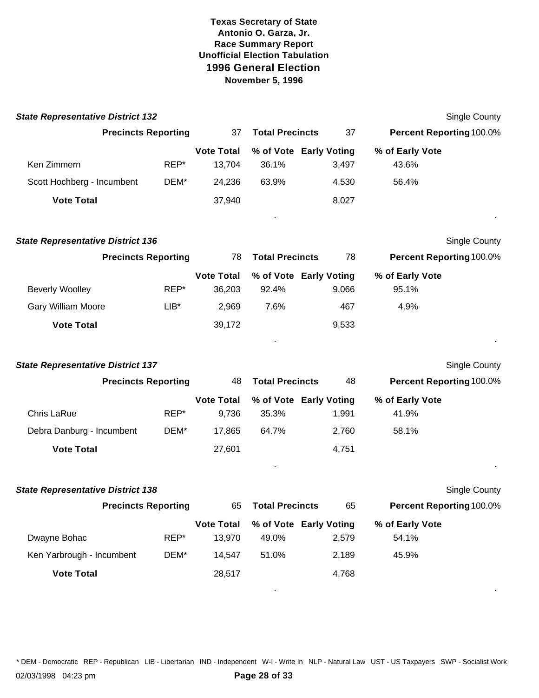| <b>State Representative District 132</b> |        |                             |                        |                                 |                                 | <b>Single County</b> |
|------------------------------------------|--------|-----------------------------|------------------------|---------------------------------|---------------------------------|----------------------|
| <b>Precincts Reporting</b>               |        | 37                          | <b>Total Precincts</b> | 37                              | <b>Percent Reporting 100.0%</b> |                      |
|                                          |        | <b>Vote Total</b>           |                        | % of Vote Early Voting          | % of Early Vote                 |                      |
| Ken Zimmern                              | REP*   | 13,704                      | 36.1%                  | 3,497                           | 43.6%                           |                      |
| Scott Hochberg - Incumbent               | DEM*   | 24,236                      | 63.9%                  | 4,530                           | 56.4%                           |                      |
| <b>Vote Total</b>                        |        | 37,940                      |                        | 8,027                           |                                 |                      |
| <b>State Representative District 136</b> |        |                             |                        |                                 |                                 | <b>Single County</b> |
| <b>Precincts Reporting</b>               |        | 78                          | <b>Total Precincts</b> | 78                              | <b>Percent Reporting 100.0%</b> |                      |
| <b>Beverly Woolley</b>                   | REP*   | <b>Vote Total</b><br>36,203 | 92.4%                  | % of Vote Early Voting<br>9,066 | % of Early Vote<br>95.1%        |                      |
| Gary William Moore                       | $LIB*$ | 2,969                       | 7.6%                   | 467                             | 4.9%                            |                      |
| <b>Vote Total</b>                        |        | 39,172                      |                        | 9,533                           |                                 |                      |
| <b>State Representative District 137</b> |        |                             |                        |                                 |                                 | Single County        |
| <b>Precincts Reporting</b>               |        | 48                          | <b>Total Precincts</b> | 48                              | <b>Percent Reporting 100.0%</b> |                      |
|                                          |        | <b>Vote Total</b>           |                        | % of Vote Early Voting          | % of Early Vote                 |                      |
| Chris LaRue                              | REP*   | 9,736                       | 35.3%                  | 1,991                           | 41.9%                           |                      |
| Debra Danburg - Incumbent                | DEM*   | 17,865                      | 64.7%                  | 2,760                           | 58.1%                           |                      |
| <b>Vote Total</b>                        |        | 27,601                      |                        | 4,751                           |                                 |                      |
| <b>State Representative District 138</b> |        |                             |                        |                                 |                                 | Single County        |
| <b>Precincts Reporting</b><br>65         |        |                             | <b>Total Precincts</b> | 65                              | <b>Percent Reporting 100.0%</b> |                      |
| Dwayne Bohac                             | REP*   | <b>Vote Total</b><br>13,970 | 49.0%                  | % of Vote Early Voting<br>2,579 | % of Early Vote<br>54.1%        |                      |
| Ken Yarbrough - Incumbent                | DEM*   | 14,547                      | 51.0%                  | 2,189                           | 45.9%                           |                      |
| <b>Vote Total</b>                        |        | 28,517                      |                        | 4,768                           |                                 |                      |
|                                          |        |                             |                        |                                 |                                 |                      |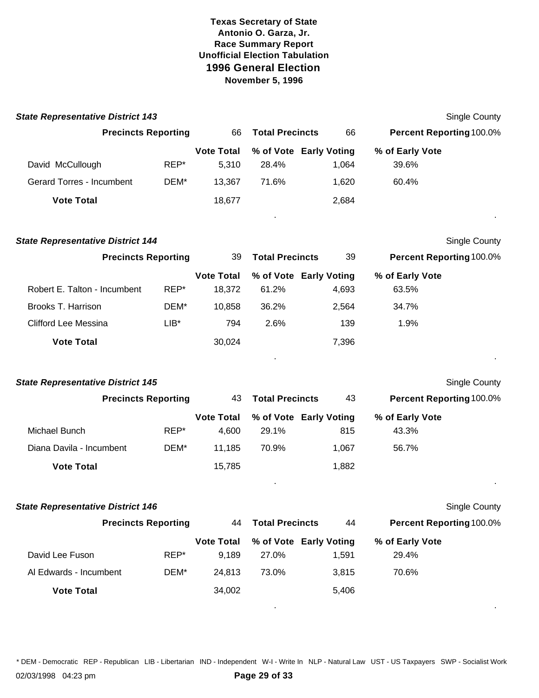| <b>State Representative District 143</b> |        |                             |                        |                                 | <b>Single County</b>     |
|------------------------------------------|--------|-----------------------------|------------------------|---------------------------------|--------------------------|
| <b>Precincts Reporting</b>               |        | 66                          | <b>Total Precincts</b> | 66                              | Percent Reporting 100.0% |
| David McCullough                         | REP*   | <b>Vote Total</b><br>5,310  | 28.4%                  | % of Vote Early Voting<br>1,064 | % of Early Vote<br>39.6% |
| Gerard Torres - Incumbent                | DEM*   | 13,367                      | 71.6%                  | 1,620                           | 60.4%                    |
| <b>Vote Total</b>                        |        | 18,677                      |                        | 2,684                           |                          |
| <b>State Representative District 144</b> |        |                             |                        |                                 | Single County            |
| <b>Precincts Reporting</b>               |        | 39                          | <b>Total Precincts</b> | 39                              | Percent Reporting 100.0% |
| Robert E. Talton - Incumbent             | REP*   | <b>Vote Total</b><br>18,372 | 61.2%                  | % of Vote Early Voting<br>4,693 | % of Early Vote<br>63.5% |
| Brooks T. Harrison                       | DEM*   | 10,858                      | 36.2%                  | 2,564                           | 34.7%                    |
| <b>Clifford Lee Messina</b>              | $LIB*$ | 794                         | 2.6%                   | 139                             | 1.9%                     |
| <b>Vote Total</b>                        |        | 30,024                      |                        | 7,396                           |                          |
| <b>State Representative District 145</b> |        |                             |                        |                                 | <b>Single County</b>     |
| <b>Precincts Reporting</b>               |        | 43                          | <b>Total Precincts</b> | 43                              | Percent Reporting 100.0% |
| Michael Bunch                            | REP*   | <b>Vote Total</b><br>4,600  | 29.1%                  | % of Vote Early Voting<br>815   | % of Early Vote<br>43.3% |
| Diana Davila - Incumbent                 | DEM*   | 11,185                      | 70.9%                  | 1,067                           | 56.7%                    |
| <b>Vote Total</b>                        |        | 15,785                      |                        | 1,882                           |                          |
| <b>State Representative District 146</b> |        |                             |                        |                                 | Single County            |
| <b>Precincts Reporting</b>               |        | 44                          | <b>Total Precincts</b> | 44                              | Percent Reporting 100.0% |
| David Lee Fuson                          | REP*   | <b>Vote Total</b><br>9,189  | 27.0%                  | % of Vote Early Voting<br>1,591 | % of Early Vote<br>29.4% |
| Al Edwards - Incumbent                   | DEM*   | 24,813                      | 73.0%                  | 3,815                           | 70.6%                    |
| <b>Vote Total</b>                        |        | 34,002                      |                        | 5,406                           |                          |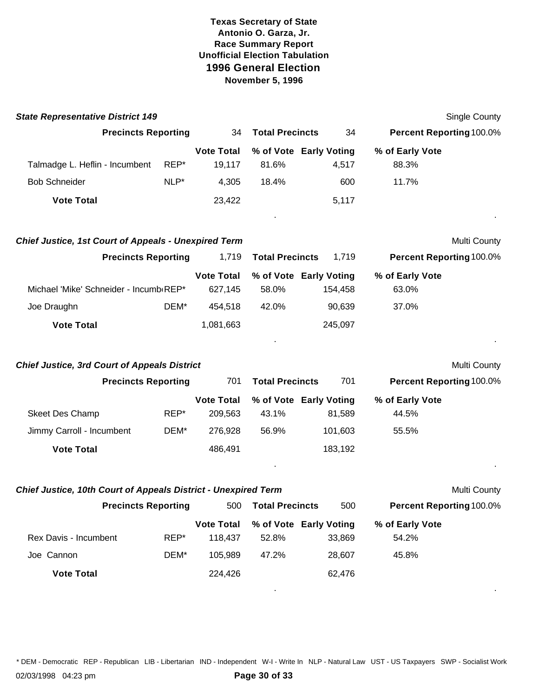| <b>State Representative District 149</b>                       |      |                              |                        |                                   |                                 | Single County |
|----------------------------------------------------------------|------|------------------------------|------------------------|-----------------------------------|---------------------------------|---------------|
| <b>Precincts Reporting</b>                                     |      | 34                           | <b>Total Precincts</b> | 34                                | Percent Reporting 100.0%        |               |
| Talmadge L. Heflin - Incumbent                                 | REP* | <b>Vote Total</b><br>19,117  | 81.6%                  | % of Vote Early Voting<br>4,517   | % of Early Vote<br>88.3%        |               |
| <b>Bob Schneider</b>                                           | NLP* | 4,305                        | 18.4%                  | 600                               | 11.7%                           |               |
| <b>Vote Total</b>                                              |      | 23,422                       |                        | 5,117                             |                                 |               |
| <b>Chief Justice, 1st Court of Appeals - Unexpired Term</b>    |      |                              |                        |                                   |                                 | Multi County  |
| <b>Precincts Reporting</b>                                     |      | 1,719                        | <b>Total Precincts</b> | 1,719                             | Percent Reporting 100.0%        |               |
| Michael 'Mike' Schneider - Incumb REP*                         |      | <b>Vote Total</b><br>627,145 | 58.0%                  | % of Vote Early Voting<br>154,458 | % of Early Vote<br>63.0%        |               |
| Joe Draughn                                                    | DEM* | 454,518                      | 42.0%                  | 90,639                            | 37.0%                           |               |
| <b>Vote Total</b>                                              |      | 1,081,663                    |                        | 245,097                           |                                 |               |
| <b>Chief Justice, 3rd Court of Appeals District</b>            |      |                              |                        |                                   |                                 | Multi County  |
| <b>Precincts Reporting</b>                                     |      | 701                          | <b>Total Precincts</b> | 701                               | <b>Percent Reporting 100.0%</b> |               |
| Skeet Des Champ                                                | REP* | <b>Vote Total</b><br>209,563 | 43.1%                  | % of Vote Early Voting<br>81,589  | % of Early Vote<br>44.5%        |               |
| Jimmy Carroll - Incumbent                                      | DEM* | 276,928                      | 56.9%                  | 101,603                           | 55.5%                           |               |
| <b>Vote Total</b>                                              |      | 486,491                      |                        | 183,192                           |                                 |               |
| Chief Justice, 10th Court of Appeals District - Unexpired Term |      |                              |                        |                                   |                                 | Multi County  |
| <b>Precincts Reporting</b>                                     |      | 500                          | <b>Total Precincts</b> | 500                               | Percent Reporting 100.0%        |               |
| Rex Davis - Incumbent                                          | REP* | <b>Vote Total</b><br>118,437 | 52.8%                  | % of Vote Early Voting<br>33,869  | % of Early Vote<br>54.2%        |               |
| Joe Cannon                                                     | DEM* | 105,989                      | 47.2%                  | 28,607                            | 45.8%                           |               |
| <b>Vote Total</b>                                              |      | 224,426                      |                        | 62,476                            |                                 |               |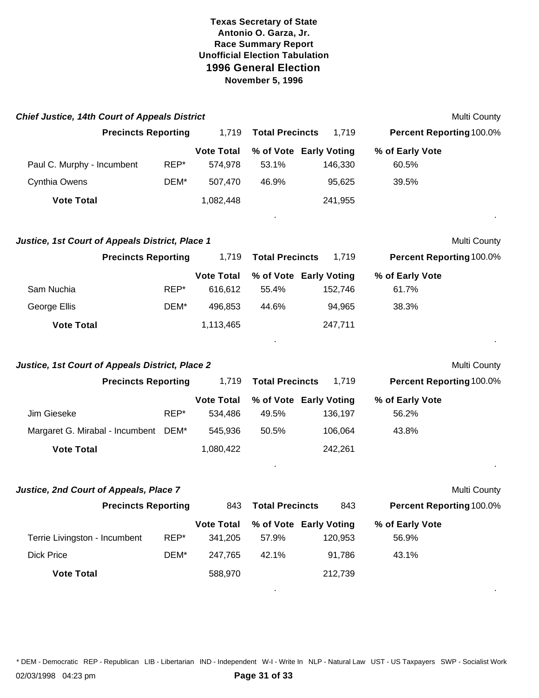| <b>Chief Justice, 14th Court of Appeals District</b> |      |                              |                        |                                   |                                 | Multi County |
|------------------------------------------------------|------|------------------------------|------------------------|-----------------------------------|---------------------------------|--------------|
| <b>Precincts Reporting</b>                           |      | 1,719                        | <b>Total Precincts</b> | 1,719                             | Percent Reporting 100.0%        |              |
| Paul C. Murphy - Incumbent                           | REP* | <b>Vote Total</b><br>574,978 | 53.1%                  | % of Vote Early Voting<br>146,330 | % of Early Vote<br>60.5%        |              |
| Cynthia Owens                                        | DEM* | 507,470                      | 46.9%                  | 95,625                            | 39.5%                           |              |
| <b>Vote Total</b>                                    |      | 1,082,448                    |                        | 241,955                           |                                 |              |
| Justice, 1st Court of Appeals District, Place 1      |      |                              |                        |                                   |                                 | Multi County |
| <b>Precincts Reporting</b>                           |      | 1,719                        | <b>Total Precincts</b> | 1,719                             | <b>Percent Reporting 100.0%</b> |              |
| Sam Nuchia                                           | REP* | <b>Vote Total</b><br>616,612 | 55.4%                  | % of Vote Early Voting<br>152,746 | % of Early Vote<br>61.7%        |              |
| George Ellis                                         | DEM* | 496,853                      | 44.6%                  | 94,965                            | 38.3%                           |              |
| <b>Vote Total</b>                                    |      | 1,113,465                    |                        | 247,711                           |                                 |              |
| Justice, 1st Court of Appeals District, Place 2      |      |                              |                        |                                   |                                 | Multi County |
| <b>Precincts Reporting</b>                           |      | 1,719                        | <b>Total Precincts</b> | 1,719                             | <b>Percent Reporting 100.0%</b> |              |
| Jim Gieseke                                          | REP* | <b>Vote Total</b><br>534,486 | 49.5%                  | % of Vote Early Voting<br>136,197 | % of Early Vote<br>56.2%        |              |
| Margaret G. Mirabal - Incumbent DEM*                 |      | 545,936                      | 50.5%                  | 106,064                           | 43.8%                           |              |
| <b>Vote Total</b>                                    |      | 1,080,422                    |                        | 242,261                           |                                 |              |
| Justice, 2nd Court of Appeals, Place 7               |      |                              |                        |                                   |                                 | Multi County |
| <b>Precincts Reporting</b>                           |      | 843                          | <b>Total Precincts</b> | 843                               | <b>Percent Reporting 100.0%</b> |              |
| Terrie Livingston - Incumbent                        | REP* | <b>Vote Total</b><br>341,205 | 57.9%                  | % of Vote Early Voting<br>120,953 | % of Early Vote<br>56.9%        |              |
| <b>Dick Price</b>                                    | DEM* | 247,765                      | 42.1%                  | 91,786                            | 43.1%                           |              |
| <b>Vote Total</b>                                    |      | 588,970                      |                        | 212,739                           |                                 |              |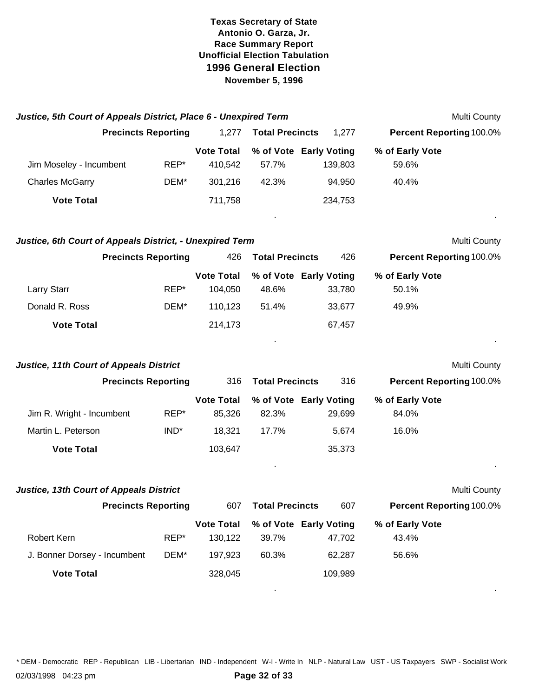| Justice, 5th Court of Appeals District, Place 6 - Unexpired Term |      |                              |                                 |         |                          | Multi County |
|------------------------------------------------------------------|------|------------------------------|---------------------------------|---------|--------------------------|--------------|
| <b>Precincts Reporting</b>                                       |      | 1,277                        | <b>Total Precincts</b>          | 1,277   | Percent Reporting 100.0% |              |
|                                                                  |      | <b>Vote Total</b>            | % of Vote Early Voting          |         | % of Early Vote          |              |
| Jim Moseley - Incumbent                                          | REP* | 410,542                      | 57.7%                           | 139,803 | 59.6%                    |              |
| <b>Charles McGarry</b>                                           | DEM* | 301,216                      | 42.3%                           | 94,950  | 40.4%                    |              |
| <b>Vote Total</b>                                                |      | 711,758                      |                                 | 234,753 |                          |              |
| Justice, 6th Court of Appeals District, - Unexpired Term         |      |                              |                                 |         |                          | Multi County |
| <b>Precincts Reporting</b>                                       |      | 426                          | <b>Total Precincts</b>          | 426     | Percent Reporting 100.0% |              |
| Larry Starr                                                      | REP* | <b>Vote Total</b><br>104,050 | % of Vote Early Voting<br>48.6% | 33,780  | % of Early Vote<br>50.1% |              |
| Donald R. Ross                                                   | DEM* | 110,123                      | 51.4%                           | 33,677  | 49.9%                    |              |
| <b>Vote Total</b>                                                |      | 214,173                      |                                 | 67,457  |                          |              |
| <b>Justice, 11th Court of Appeals District</b>                   |      |                              |                                 |         |                          | Multi County |
| <b>Precincts Reporting</b>                                       |      | 316                          | <b>Total Precincts</b>          | 316     | Percent Reporting 100.0% |              |
| Jim R. Wright - Incumbent                                        | REP* | <b>Vote Total</b><br>85,326  | % of Vote Early Voting<br>82.3% | 29,699  | % of Early Vote<br>84.0% |              |
| Martin L. Peterson                                               | IND* | 18,321                       | 17.7%                           | 5,674   | 16.0%                    |              |
| <b>Vote Total</b>                                                |      | 103,647                      |                                 | 35,373  |                          |              |
| <b>Justice, 13th Court of Appeals District</b>                   |      |                              |                                 |         |                          | Multi County |
| <b>Precincts Reporting</b>                                       |      | 607                          | <b>Total Precincts</b>          | 607     | Percent Reporting 100.0% |              |
|                                                                  |      | <b>Vote Total</b>            | % of Vote Early Voting          |         | % of Early Vote          |              |
| Robert Kern                                                      | REP* | 130,122                      | 39.7%                           | 47,702  | 43.4%                    |              |
| J. Bonner Dorsey - Incumbent                                     | DEM* | 197,923                      | 60.3%                           | 62,287  | 56.6%                    |              |
| <b>Vote Total</b>                                                |      | 328,045                      |                                 | 109,989 |                          |              |